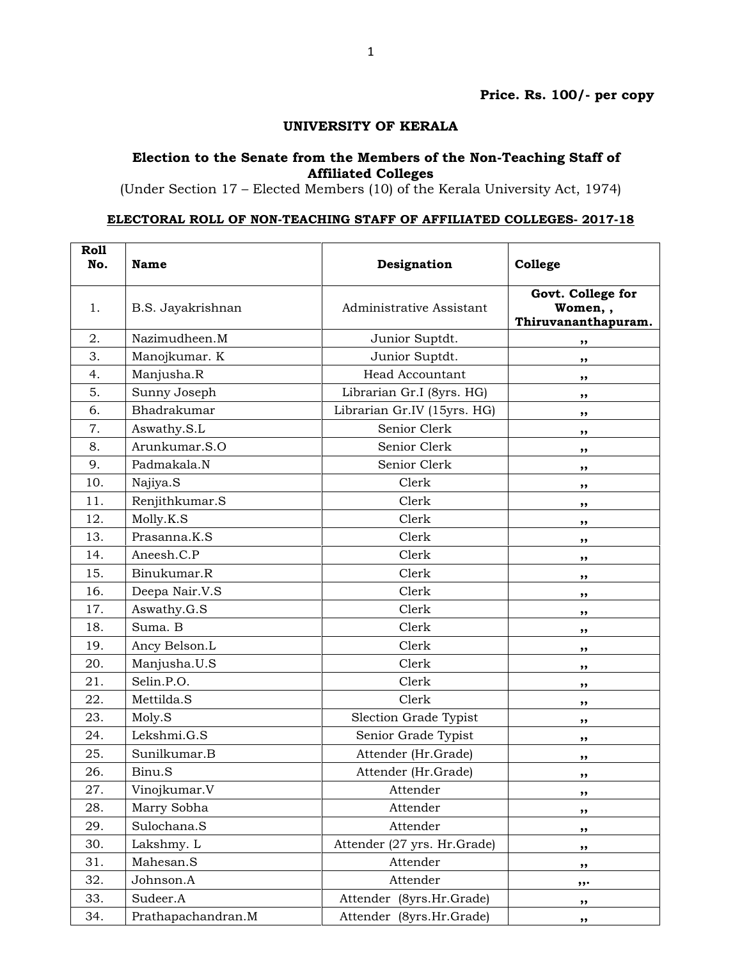## UNIVERSITY OF KERALA

## Election to the Senate from the Members of the Non-Teaching Staff of Affiliated Colleges

(Under Section 17 – Elected Members (10) of the Kerala University Act, 1974)

## ELECTORAL ROLL OF NON-TEACHING STAFF OF AFFILIATED COLLEGES- 2017-18

| <b>Roll</b><br>No. | Name               | Designation                 | College                                             |
|--------------------|--------------------|-----------------------------|-----------------------------------------------------|
| 1.                 | B.S. Jayakrishnan  | Administrative Assistant    | Govt. College for<br>Women,,<br>Thiruvananthapuram. |
| 2.                 | Nazimudheen.M      | Junior Suptdt.              | ,,                                                  |
| 3.                 | Manojkumar. K      | Junior Suptdt.              | ,,                                                  |
| 4.                 | Manjusha.R         | <b>Head Accountant</b>      | ,,                                                  |
| 5.                 | Sunny Joseph       | Librarian Gr.I (8yrs. HG)   | ,,                                                  |
| 6.                 | Bhadrakumar        | Librarian Gr.IV (15yrs. HG) | ,,                                                  |
| 7.                 | Aswathy.S.L        | Senior Clerk                | ,,                                                  |
| 8.                 | Arunkumar.S.O      | Senior Clerk                | ,,                                                  |
| 9.                 | Padmakala.N        | Senior Clerk                | ,,                                                  |
| 10.                | Najiya.S           | Clerk                       | ,,                                                  |
| 11.                | Renjithkumar.S     | Clerk                       | ,,                                                  |
| 12.                | Molly.K.S          | Clerk                       | ,,                                                  |
| 13.                | Prasanna.K.S       | Clerk                       | ,,                                                  |
| 14.                | Aneesh.C.P         | Clerk                       | ,,                                                  |
| 15.                | Binukumar.R        | Clerk                       | ,,                                                  |
| 16.                | Deepa Nair.V.S     | Clerk                       | ,,                                                  |
| 17.                | Aswathy.G.S        | Clerk                       | ,,                                                  |
| 18.                | Suma. B            | Clerk                       | ,,                                                  |
| 19.                | Ancy Belson.L      | Clerk                       | ,,                                                  |
| 20.                | Manjusha.U.S       | Clerk                       | ,,                                                  |
| 21.                | Selin.P.O.         | Clerk                       | ,,                                                  |
| 22.                | Mettilda.S         | Clerk                       | ,,                                                  |
| 23.                | Moly.S             | Slection Grade Typist       | ,,                                                  |
| 24.                | Lekshmi.G.S        | Senior Grade Typist         | ,,                                                  |
| 25.                | Sunilkumar.B       | Attender (Hr.Grade)         | ,,                                                  |
| 26.                | Binu.S             | Attender (Hr.Grade)         | ,,                                                  |
| 27.                | Vinojkumar.V       | Attender                    | ,,                                                  |
| 28.                | Marry Sobha        | Attender                    | ,,                                                  |
| 29.                | Sulochana.S        | Attender                    | ,,                                                  |
| 30.                | Lakshmy. L         | Attender (27 yrs. Hr.Grade) | ,,                                                  |
| 31.                | Mahesan.S          | Attender                    | ,,                                                  |
| 32.                | Johnson.A          | Attender                    | $, \ldots$                                          |
| 33.                | Sudeer.A           | Attender (8yrs.Hr.Grade)    | ,,                                                  |
| 34.                | Prathapachandran.M | Attender (8yrs.Hr.Grade)    | ,,                                                  |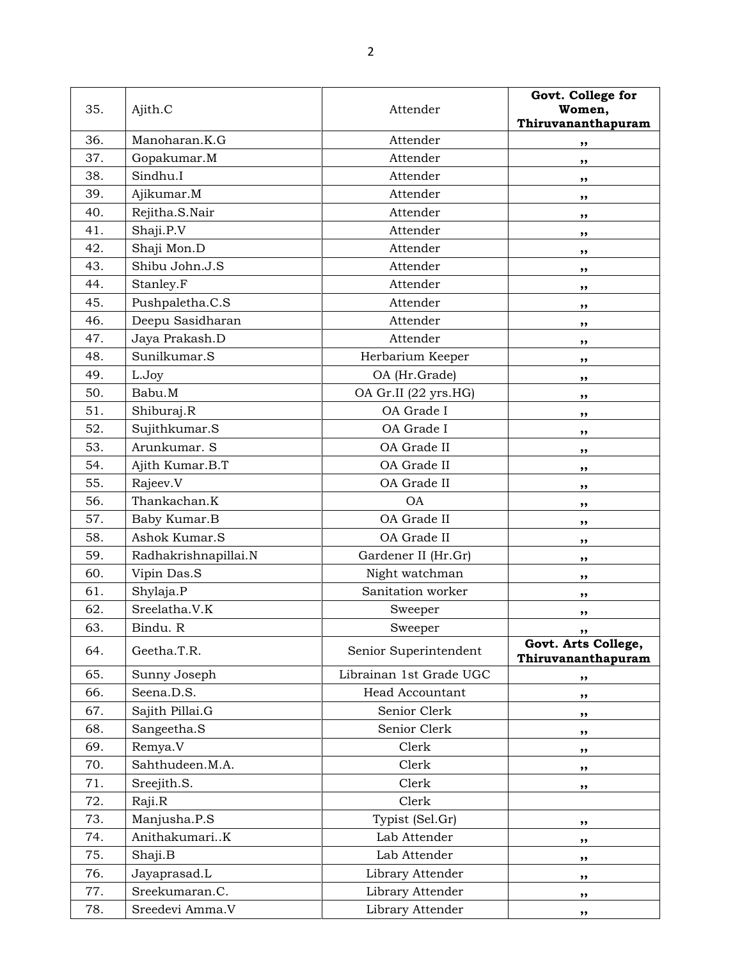| 35. | Ajith.C              | Attender                | Govt. College for<br>Women,<br>Thiruvananthapuram |
|-----|----------------------|-------------------------|---------------------------------------------------|
| 36. | Manoharan.K.G        | Attender                | ,,                                                |
| 37. | Gopakumar.M          | Attender                | ,,                                                |
| 38. | Sindhu.I             | Attender                | ,,                                                |
| 39. | Ajikumar.M           | Attender                | ,,                                                |
| 40. | Rejitha.S.Nair       | Attender                | ,,                                                |
| 41. | Shaji.P.V            | Attender                | ,,                                                |
| 42. | Shaji Mon.D          | Attender                | ,,                                                |
| 43. | Shibu John.J.S       | Attender                | ,,                                                |
| 44. | Stanley.F            | Attender                | ,,                                                |
| 45. | Pushpaletha.C.S      | Attender                | ,,                                                |
| 46. | Deepu Sasidharan     | Attender                | ,,                                                |
| 47. | Jaya Prakash.D       | Attender                | ,,                                                |
| 48. | Sunilkumar.S         | Herbarium Keeper        | ,,                                                |
| 49. | L.Joy                | OA (Hr.Grade)           | ,,                                                |
| 50. | Babu.M               | OA Gr.II (22 yrs.HG)    | ,,                                                |
| 51. | Shiburaj.R           | OA Grade I              | ,,                                                |
| 52. | Sujithkumar.S        | OA Grade I              | ,,                                                |
| 53. | Arunkumar. S         | OA Grade II             | ,,                                                |
| 54. | Ajith Kumar.B.T      | OA Grade II             | ,,                                                |
| 55. | Rajeev.V             | OA Grade II             | ,,                                                |
| 56. | Thankachan.K         | <b>OA</b>               | ,,                                                |
| 57. | Baby Kumar.B         | OA Grade II             | ,,                                                |
| 58. | Ashok Kumar.S        | OA Grade II             | ,,                                                |
| 59. | Radhakrishnapillai.N | Gardener II (Hr.Gr)     | ,,                                                |
| 60. | Vipin Das.S          | Night watchman          | ,,                                                |
| 61. | Shylaja.P            | Sanitation worker       | ,,                                                |
| 62. | Sreelatha.V.K        | Sweeper                 | ,,                                                |
| 63. | Bindu. R             | Sweeper                 |                                                   |
| 64. | Geetha.T.R.          | Senior Superintendent   | Govt. Arts College,<br>Thiruvananthapuram         |
| 65. | Sunny Joseph         | Librainan 1st Grade UGC | ,,                                                |
| 66. | Seena.D.S.           | <b>Head Accountant</b>  | ,,                                                |
| 67. | Sajith Pillai.G      | Senior Clerk            | ,,                                                |
| 68. | Sangeetha.S          | Senior Clerk            | ,,                                                |
| 69. | Remya.V              | Clerk                   | ,,                                                |
| 70. | Sahthudeen.M.A.      | Clerk                   | ,,                                                |
| 71. | Sreejith.S.          | Clerk                   | ,,                                                |
| 72. | Raji.R               | Clerk                   |                                                   |
| 73. | Manjusha.P.S         | Typist (Sel.Gr)         | ,,                                                |
| 74. | AnithakumariK        | Lab Attender            | ,,                                                |
| 75. | Shaji.B              | Lab Attender            | ,,                                                |
| 76. | Jayaprasad.L         | Library Attender        | ,,                                                |
| 77. | Sreekumaran.C.       | Library Attender        | ,,                                                |
| 78. | Sreedevi Amma.V      | Library Attender        | ,,                                                |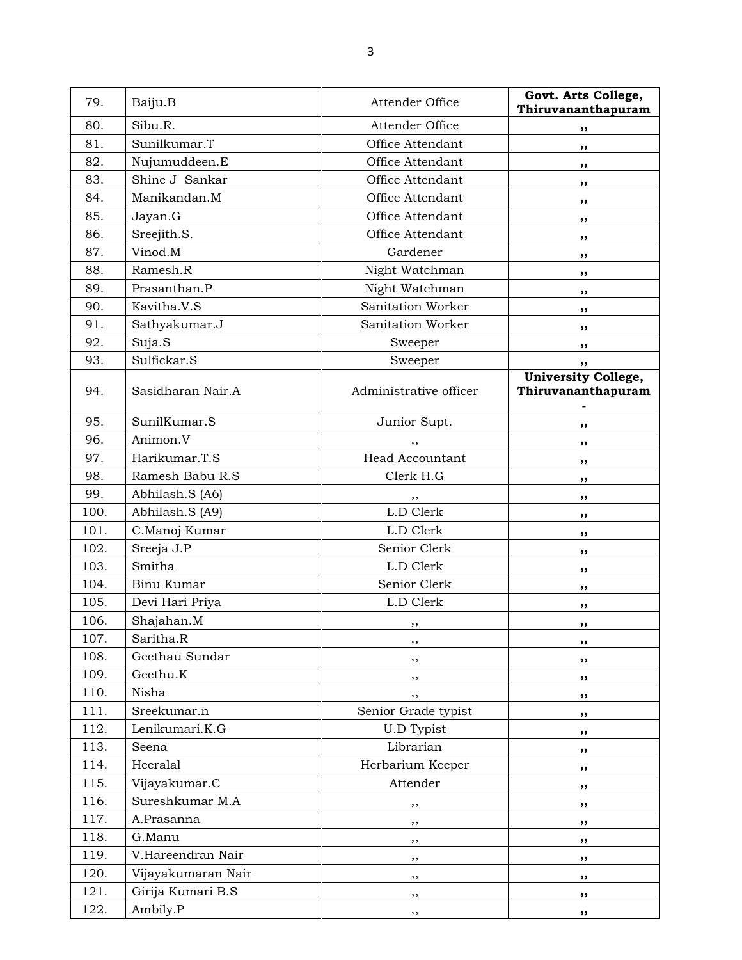| 79.  | Baiju.B            | Attender Office        | Govt. Arts College,<br>Thiruvananthapuram        |
|------|--------------------|------------------------|--------------------------------------------------|
| 80.  | Sibu.R.            | Attender Office        | ,,                                               |
| 81.  | Sunilkumar.T       | Office Attendant       | ,,                                               |
| 82.  | Nujumuddeen.E      | Office Attendant       | ,,                                               |
| 83.  | Shine J Sankar     | Office Attendant       | ,,                                               |
| 84.  | Manikandan.M       | Office Attendant       | ,,                                               |
| 85.  | Jayan.G            | Office Attendant       | ,,                                               |
| 86.  | Sreejith.S.        | Office Attendant       | ,,                                               |
| 87.  | Vinod.M            | Gardener               | ,,                                               |
| 88.  | Ramesh.R           | Night Watchman         | ,,                                               |
| 89.  | Prasanthan.P       | Night Watchman         | ,,                                               |
| 90.  | Kavitha.V.S        | Sanitation Worker      | ,,                                               |
| 91.  | Sathyakumar.J      | Sanitation Worker      | ,,                                               |
| 92.  | Suja.S             | Sweeper                | ,,                                               |
| 93.  | Sulfickar.S        | Sweeper                | ,,                                               |
| 94.  | Sasidharan Nair.A  | Administrative officer | <b>University College,</b><br>Thiruvananthapuram |
| 95.  | SunilKumar.S       | Junior Supt.           | ,,                                               |
| 96.  | Animon.V           | ,,                     | ,,                                               |
| 97.  | Harikumar.T.S      | <b>Head Accountant</b> | ,,                                               |
| 98.  | Ramesh Babu R.S    | Clerk H.G              | ,,                                               |
| 99.  | Abhilash.S (A6)    | ,,                     | ,,                                               |
| 100. | Abhilash.S (A9)    | L.D Clerk              | ,,                                               |
| 101. | C.Manoj Kumar      | L.D Clerk              | ,,                                               |
| 102. | Sreeja J.P         | Senior Clerk           | ,,                                               |
| 103. | Smitha             | L.D Clerk              | ,,                                               |
| 104. | Binu Kumar         | Senior Clerk           | ,,                                               |
| 105. | Devi Hari Priya    | L.D Clerk              | ,,                                               |
| 106. | Shajahan.M         | ,,                     | ,,                                               |
| 107. | Saritha.R          | ,,                     | ,,                                               |
| 108. | Geethau Sundar     | , ,                    | ,,                                               |
| 109. | Geethu.K           | , ,                    | ,,                                               |
| 110. | Nisha              | ,,                     | ,,                                               |
| 111. | Sreekumar.n        | Senior Grade typist    | ,,                                               |
| 112. | Lenikumari.K.G     | <b>U.D Typist</b>      | ,,                                               |
| 113. | Seena              | Librarian              | ,,                                               |
| 114. | Heeralal           | Herbarium Keeper       | ,,                                               |
| 115. | Vijayakumar.C      | Attender               | ,,                                               |
| 116. | Sureshkumar M.A    | ,,                     | ,,                                               |
| 117. | A.Prasanna         | ,,                     | ,,                                               |
| 118. | G.Manu             | $, \,$                 | ,,                                               |
| 119. | V.Hareendran Nair  | ,,                     | ,,                                               |
| 120. | Vijayakumaran Nair | ,,                     | ,,                                               |
| 121. | Girija Kumari B.S  | ,,                     | ,,                                               |
| 122. | Ambily.P           | ,,                     | ,,                                               |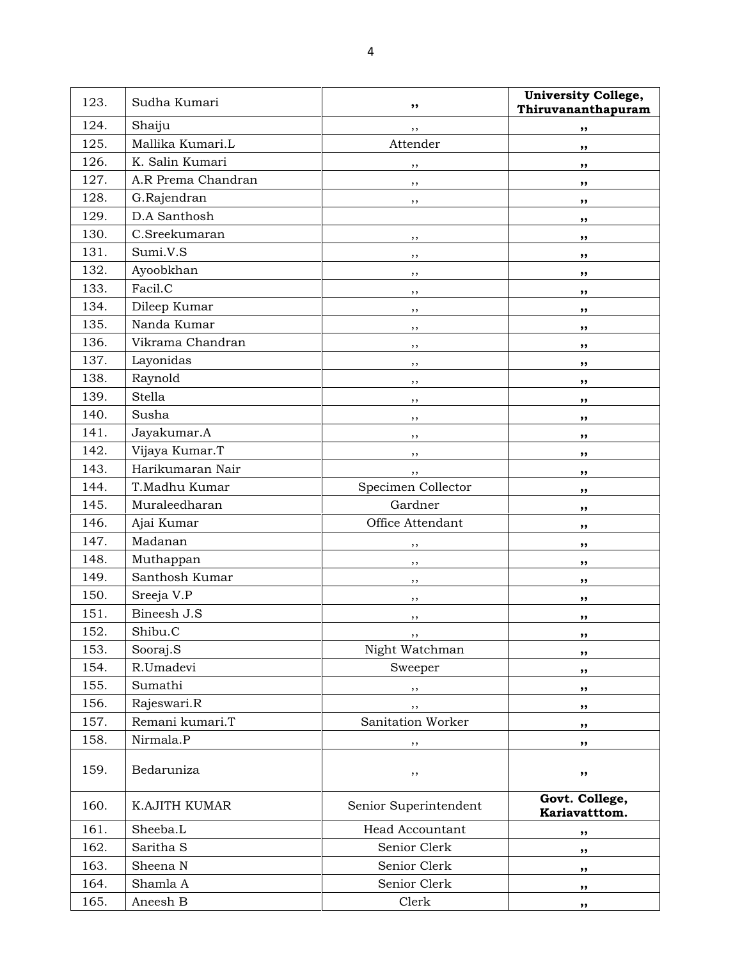| 123. | Sudha Kumari         | ,,                    | <b>University College,</b><br>Thiruvananthapuram |
|------|----------------------|-----------------------|--------------------------------------------------|
| 124. | Shaiju               | ,,                    | ,,                                               |
| 125. | Mallika Kumari.L     | Attender              | ,,                                               |
| 126. | K. Salin Kumari      | ,,                    | ,,                                               |
| 127. | A.R Prema Chandran   | ,,                    | ,,                                               |
| 128. | G.Rajendran          | ,,                    | ,,                                               |
| 129. | D.A Santhosh         |                       | ,,                                               |
| 130. | C.Sreekumaran        | ,,                    | ,,                                               |
| 131. | Sumi.V.S             | ,,                    | ,,                                               |
| 132. | Ayoobkhan            | ,,                    | ,,                                               |
| 133. | Facil.C              | ,,                    | ,,                                               |
| 134. | Dileep Kumar         | ,,                    | ,,                                               |
| 135. | Nanda Kumar          | ,,                    | ,,                                               |
| 136. | Vikrama Chandran     | ,,                    | ,,                                               |
| 137. | Layonidas            | ,,                    | ,,                                               |
| 138. | Raynold              | , ,                   | ,,                                               |
| 139. | <b>Stella</b>        | ,,                    | ,,                                               |
| 140. | Susha                | , ,                   | ,,                                               |
| 141. | Jayakumar.A          | ,,                    | ,,                                               |
| 142. | Vijaya Kumar.T       | , ,                   | ,,                                               |
| 143. | Harikumaran Nair     | , ,                   | ,,                                               |
| 144. | T.Madhu Kumar        | Specimen Collector    | ,,                                               |
| 145. | Muraleedharan        | Gardner               | ,,                                               |
| 146. | Ajai Kumar           | Office Attendant      | ,,                                               |
| 147. | Madanan              | ,,                    | ,,                                               |
| 148. | Muthappan            | ,,                    | ,,                                               |
| 149. | Santhosh Kumar       | ,,                    | ,,                                               |
| 150. | Sreeja V.P           | ,,                    | ,,                                               |
| 151. | Bineesh J.S          | ,,                    | ,,                                               |
| 152. | Shibu.C              | ,,                    | ,,                                               |
| 153. | Sooraj.S             | Night Watchman        | ,,                                               |
| 154. | R.Umadevi            | Sweeper               | ,,                                               |
| 155. | Sumathi              | ,,                    | ,,                                               |
| 156. | Rajeswari.R          | ,,                    | ,,                                               |
| 157. | Remani kumari.T      | Sanitation Worker     | ,,                                               |
| 158. | Nirmala.P            | ,,                    | ,,                                               |
| 159. | Bedaruniza           | ,,                    | ,,                                               |
| 160. | <b>K.AJITH KUMAR</b> | Senior Superintendent | Govt. College,<br>Kariavatttom.                  |
| 161. | Sheeba.L             | Head Accountant       | ,,                                               |
| 162. | Saritha S            | Senior Clerk          | ,,                                               |
| 163. | Sheena N             | Senior Clerk          | ,,                                               |
| 164. | Shamla A             | Senior Clerk          | ,,                                               |
| 165. | Aneesh B             | Clerk                 | ,,                                               |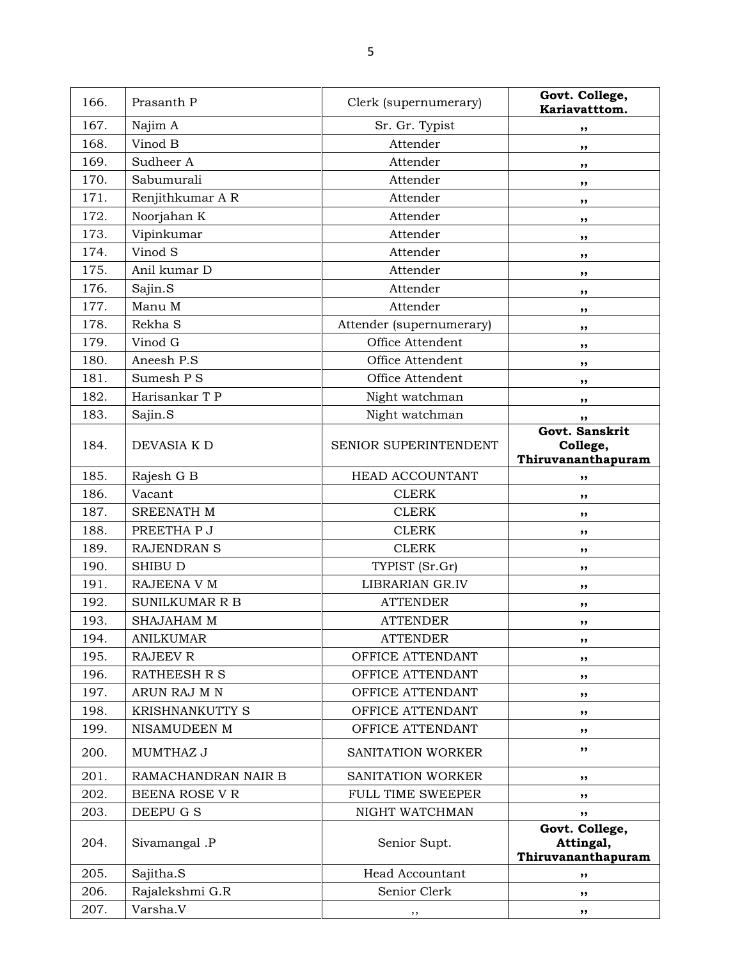| 166. | Prasanth P            | Clerk (supernumerary)    | Govt. College,<br>Kariavatttom.                   |
|------|-----------------------|--------------------------|---------------------------------------------------|
| 167. | Najim A               | Sr. Gr. Typist           | ,,                                                |
| 168. | Vinod B               | Attender                 | ,,                                                |
| 169. | Sudheer A             | Attender                 | ,,                                                |
| 170. | Sabumurali            | Attender                 | ,,                                                |
| 171. | Renjithkumar A R      | Attender                 | ,,                                                |
| 172. | Noorjahan K           | Attender                 | ,,                                                |
| 173. | Vipinkumar            | Attender                 | ,,                                                |
| 174. | Vinod S               | Attender                 | ,,                                                |
| 175. | Anil kumar D          | Attender                 | ,,                                                |
| 176. | Sajin.S               | Attender                 | ,,                                                |
| 177. | Manu M                | Attender                 | ,,                                                |
| 178. | Rekha S               | Attender (supernumerary) | ,,                                                |
| 179. | Vinod G               | Office Attendent         | ,,                                                |
| 180. | Aneesh P.S            | Office Attendent         | ,,                                                |
| 181. | Sumesh P S            | Office Attendent         | ,,                                                |
| 182. | Harisankar T P        | Night watchman           | ,,                                                |
| 183. | Sajin.S               | Night watchman           | ,,                                                |
|      |                       |                          | Govt. Sanskrit                                    |
| 184. | DEVASIA K D           | SENIOR SUPERINTENDENT    | College,<br>Thiruvananthapuram                    |
| 185. | Rajesh G B            | HEAD ACCOUNTANT          | ,,                                                |
| 186. | Vacant                | <b>CLERK</b>             | ,,                                                |
| 187. | SREENATH M            | <b>CLERK</b>             | ,,                                                |
| 188. | PREETHA P J           | <b>CLERK</b>             | ,,                                                |
| 189. | RAJENDRAN S           | <b>CLERK</b>             | ,,                                                |
| 190. | <b>SHIBU D</b>        | TYPIST (Sr.Gr)           | ,,                                                |
| 191. | RAJEENA V M           | LIBRARIAN GR.IV          | ,,                                                |
| 192. | <b>SUNILKUMAR R B</b> | <b>ATTENDER</b>          | ,,                                                |
| 193. | <b>SHAJAHAM M</b>     | <b>ATTENDER</b>          | ,,                                                |
| 194. | <b>ANILKUMAR</b>      | <b>ATTENDER</b>          | ,,                                                |
| 195. | <b>RAJEEV R</b>       | OFFICE ATTENDANT         | ,,                                                |
| 196. | <b>RATHEESH R S</b>   | OFFICE ATTENDANT         | ,,                                                |
| 197. | ARUN RAJ M N          | OFFICE ATTENDANT         | ,,                                                |
| 198. | KRISHNANKUTTY S       | OFFICE ATTENDANT         | ,,                                                |
| 199. | NISAMUDEEN M          | OFFICE ATTENDANT         | ,,                                                |
| 200. | MUMTHAZ J             | SANITATION WORKER        | ,,                                                |
| 201. | RAMACHANDRAN NAIR B   | SANITATION WORKER        | ,,                                                |
| 202. | BEENA ROSE V R        | <b>FULL TIME SWEEPER</b> | ,,                                                |
| 203. | DEEPU G S             | NIGHT WATCHMAN           | ,,                                                |
| 204. | Sivamangal .P         | Senior Supt.             | Govt. College,<br>Attingal,<br>Thiruvananthapuram |
| 205. | Sajitha.S             | <b>Head Accountant</b>   | ,,                                                |
| 206. | Rajalekshmi G.R       | Senior Clerk             | ,,                                                |
| 207. | Varsha.V              | ,,                       | ,,                                                |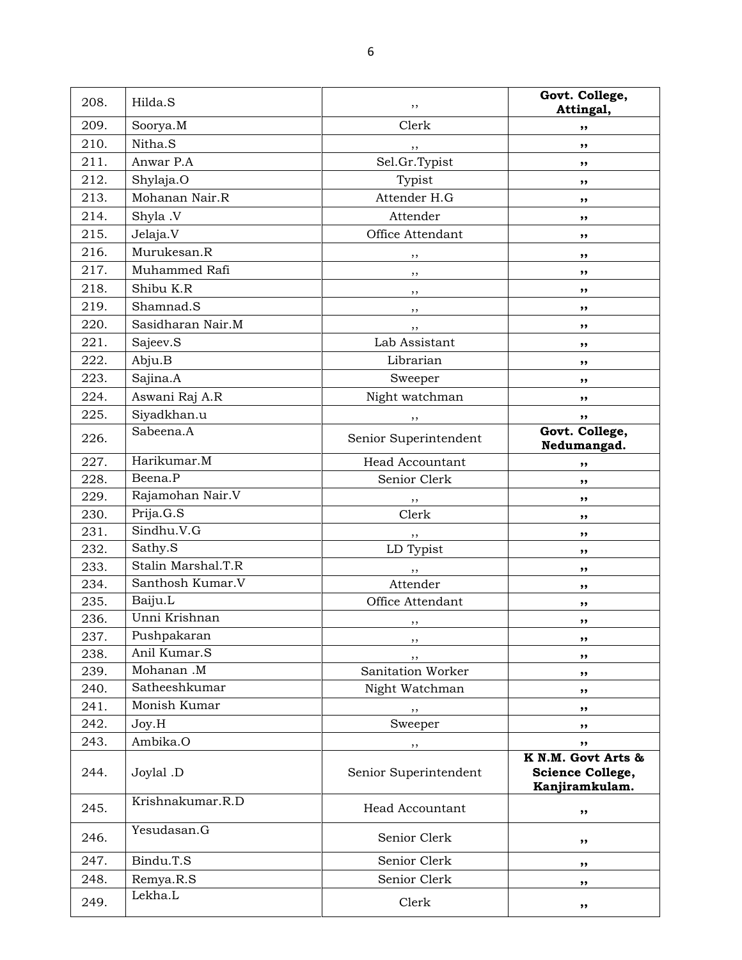| 208. | Hilda.S            | ,,                    | Govt. College,<br>Attingal,                                                  |
|------|--------------------|-----------------------|------------------------------------------------------------------------------|
| 209. | Soorya.M           | Clerk                 | ,,                                                                           |
| 210. | Nitha.S            | , ,                   | ,,                                                                           |
| 211. | Anwar P.A          | Sel.Gr.Typist         | ,,                                                                           |
| 212. | Shylaja.O          | Typist                | ,,                                                                           |
| 213. | Mohanan Nair.R     | Attender H.G          | ,,                                                                           |
| 214. | Shyla .V           | Attender              | ,,                                                                           |
| 215. | Jelaja.V           | Office Attendant      | ,,                                                                           |
| 216. | Murukesan.R        | ,,                    | ,,                                                                           |
| 217. | Muhammed Rafi      | $, \,$                | ,,                                                                           |
| 218. | Shibu K.R          | $, \,$                | ,,                                                                           |
| 219. | Shamnad.S          | $, \,$                | ,,                                                                           |
| 220. | Sasidharan Nair.M  | , ,                   | ,,                                                                           |
| 221. | Sajeev.S           | Lab Assistant         | ,,                                                                           |
| 222. | Abju.B             | Librarian             | ,,                                                                           |
| 223. | Sajina.A           | Sweeper               | ,,                                                                           |
| 224. | Aswani Raj A.R     | Night watchman        | ,,                                                                           |
| 225. | Siyadkhan.u        | ,,                    | ,,                                                                           |
|      | Sabeena.A          |                       | Govt. College,                                                               |
| 226. |                    | Senior Superintendent | Nedumangad.                                                                  |
| 227. | Harikumar.M        | Head Accountant       | ,,                                                                           |
| 228. | Beena.P            | Senior Clerk          | ,,                                                                           |
| 229. | Rajamohan Nair.V   | ,,                    | ,,                                                                           |
| 230. | Prija.G.S          | Clerk                 | ,,                                                                           |
| 231. | Sindhu.V.G         | , ,                   | ,,                                                                           |
| 232. | Sathy.S            | LD Typist             | ,,                                                                           |
| 233. | Stalin Marshal.T.R | $, \,$                | ,,                                                                           |
| 234. | Santhosh Kumar.V   | Attender              | ,,                                                                           |
| 235. | Baiju.L            | Office Attendant      | ,,                                                                           |
| 236. | Unni Krishnan      | , ,                   | ,,                                                                           |
| 237. | Pushpakaran        | ,,                    | ,,                                                                           |
| 238. | Anil Kumar.S       | , ,                   | ,,                                                                           |
| 239. | Mohanan.M          | Sanitation Worker     | ,,                                                                           |
| 240. | Satheeshkumar      | Night Watchman        | ,,                                                                           |
| 241. | Monish Kumar       | ,,                    | ,,                                                                           |
| 242. | Joy.H              | Sweeper               | ,,                                                                           |
| 243. | Ambika.O           | ,,                    | ,,                                                                           |
| 244. | Joylal .D          | Senior Superintendent | $\overline{K}$ N.M. Govt Arts &<br><b>Science College,</b><br>Kanjiramkulam. |
| 245. | Krishnakumar.R.D   | Head Accountant       | ,,                                                                           |
| 246. | Yesudasan.G        | Senior Clerk          | ,,                                                                           |
| 247. | Bindu.T.S          | Senior Clerk          | ,,                                                                           |
| 248. | Remya.R.S          | Senior Clerk          | ,,                                                                           |
| 249. | Lekha.L            | Clerk                 | ,,                                                                           |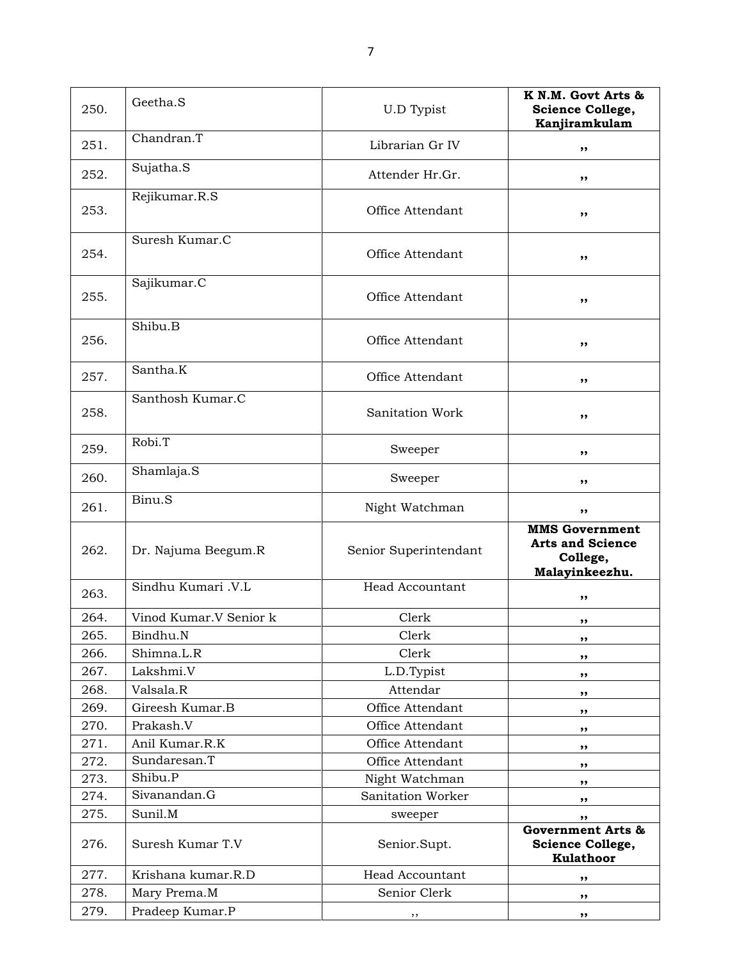250. Geetha.S U.D Typist K N.M. Govt Arts & Science College, Kanjiramkulam 251. Chandran.T but be chandran.T but be changed by the change of  $\sim$  ,  $\sim$  ,  $\sim$  ,  $\sim$  ,  $\sim$  ,  $\sim$  ,  $\sim$  ,  $\sim$  ,  $\sim$  ,  $\sim$  ,  $\sim$  ,  $\sim$  ,  $\sim$  ,  $\sim$  ,  $\sim$  ,  $\sim$  ,  $\sim$  ,  $\sim$  ,  $\sim$  ,  $\sim$  ,  $\sim$  ,  $\sim$  ,  $\$ 252. Sujatha.S Attender Hr.Gr. ,, 253. Rejikumar.R.S Office Attendant ,, 254. Suresh Kumar.C Office Attendant , , 255. Sajikumar.C Office Attendant ,, 256. Shibu.B Office Attendant , , 257. Santha.K **Communist Share Separate Separate Separate Separate Separate Separate Separate Separate Separate Separate Separate Separate Separate Separate Separate Separate Separate Separate Separate Separate Separate Se** 258. Santhosh Kumar.C Sanitation Work , , 259. Robi.T Sweeper ,, 260. Shamlaja.S Sweeper ,, 261. Binu.S Night Watchman , 262. Dr. Najuma Beegum.R Senior Superintendant MMS Government Arts and Science College, Malayinkeezhu. 263. Sindhu Kumari .V.L Head Accountant ,, 264. Vinod Kumar.V Senior k Clerk Clerk , ,  $265.$  Bindhu.N  $\qquad \qquad$  Clerk  $\qquad \qquad$ ,  $266.$  Shimna.L.R clerk ,, 267. Lakshmi.V L.D.Typist ,,  $268.$  Valsala.R and  $\overline{R}$  attendar  $\overline{R}$ ,  $\overline{R}$ 269. Gireesh Kumar.B **Communist Communist Communist Communist Communist Communist Communist Communist Communist Communist Communist Communist Communist Communist Communist Communist Communist Communist Communist Communist** 270. Prakash.V (a) Office Attendant (b),  $\int$ ,  $\int$ ,  $\int$ ,  $\int$ ,  $\int$ ,  $\int$ ,  $\int$ ,  $\int$ ,  $\int$ ,  $\int$ ,  $\int$ ,  $\int$ ,  $\int$ ,  $\int$ ,  $\int$ ,  $\int$ ,  $\int$ ,  $\int$ ,  $\int$ ,  $\int$ ,  $\int$ ,  $\int$ ,  $\int$ ,  $\int$ ,  $\int$ ,  $\int$ ,  $\int$ ,  $\int$ ,  $\int$ ,  $\int$ , 271. Anil Kumar.R.K Office Attendant ,, 272. Sundaresan.T **Conserverse Sundary Sundaresan.T** and Office Attendant **,,** 273. Shibu.P Night Watchman ,, 274. Sivanandan.G Sanitation Worker , 275. Sunil.M sweeper ,, 276. Suresh Kumar T.V Senior.Supt. Government Arts & Science College, Kulathoor 277. Krishana kumar.R.D Head Accountant  $\mathbf{R}$ , 278. Mary Prema.M Senior Clerk , , 279. Pradeep Kumar.P ,, ,,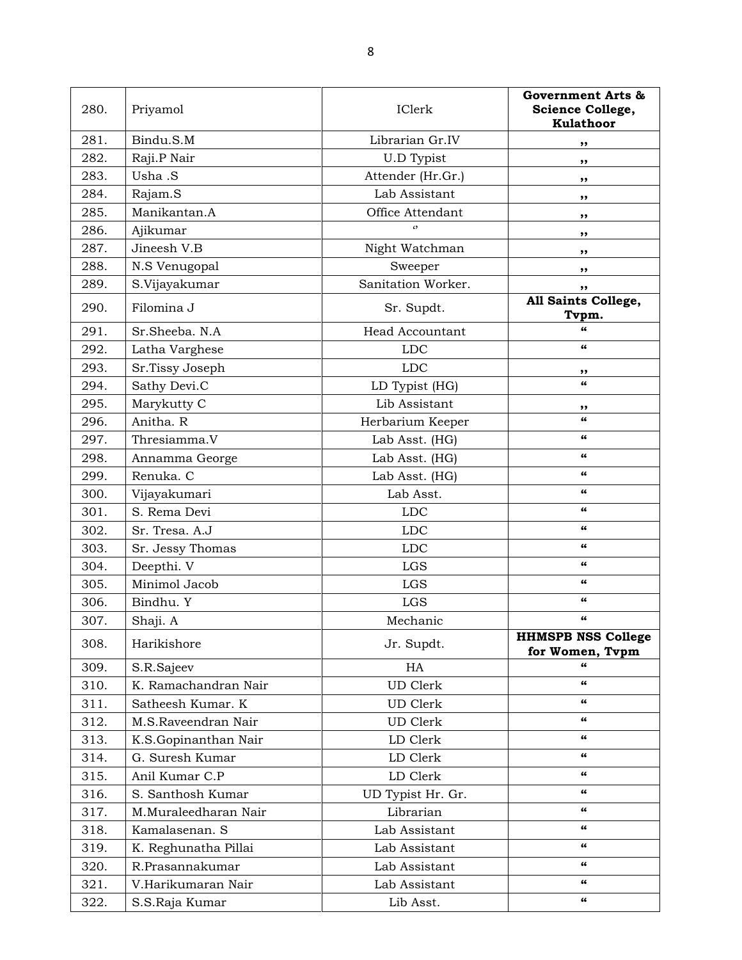| 280. | Priyamol             | IClerk                 | Government Arts &<br>Science College,<br>Kulathoor |
|------|----------------------|------------------------|----------------------------------------------------|
| 281. | Bindu.S.M            | Librarian Gr.IV        | ,,                                                 |
| 282. | Raji.P Nair          | <b>U.D Typist</b>      | ,,                                                 |
| 283. | Usha .S              | Attender (Hr.Gr.)      | ,,                                                 |
| 284. | Rajam.S              | Lab Assistant          | ,,                                                 |
| 285. | Manikantan.A         | Office Attendant       | ,,                                                 |
| 286. | Ajikumar             | $\epsilon$             | ,,                                                 |
| 287. | Jineesh V.B          | Night Watchman         | ,,                                                 |
| 288. | N.S Venugopal        | Sweeper                | ,,                                                 |
| 289. | S.Vijayakumar        | Sanitation Worker.     | ,,                                                 |
| 290. | Filomina J           | Sr. Supdt.             | All Saints College,<br>Tvpm.                       |
| 291. | Sr.Sheeba. N.A       | <b>Head Accountant</b> | 66                                                 |
| 292. | Latha Varghese       | <b>LDC</b>             | 66                                                 |
| 293. | Sr.Tissy Joseph      | <b>LDC</b>             | ,,                                                 |
| 294. | Sathy Devi.C         | LD Typist (HG)         | 66                                                 |
| 295. | Marykutty C          | Lib Assistant          | ,,                                                 |
| 296. | Anitha. R            | Herbarium Keeper       | $\epsilon$                                         |
| 297. | Thresiamma.V         | Lab Asst. (HG)         | 66                                                 |
| 298. | Annamma George       | Lab Asst. (HG)         | 66                                                 |
| 299. | Renuka. C            | Lab Asst. (HG)         | 66                                                 |
| 300. | Vijayakumari         | Lab Asst.              | 66                                                 |
| 301. | S. Rema Devi         | <b>LDC</b>             | 66                                                 |
| 302. | Sr. Tresa. A.J       | <b>LDC</b>             | 66                                                 |
| 303. | Sr. Jessy Thomas     | <b>LDC</b>             | 66                                                 |
| 304. | Deepthi. V           | LGS                    | 66                                                 |
| 305. | Minimol Jacob        | LGS                    | 66                                                 |
| 306. | Bindhu. Y            | <b>LGS</b>             | 66                                                 |
| 307. | Shaji. A             | Mechanic               | 66                                                 |
| 308. | Harikishore          | Jr. Supdt.             | <b>HHMSPB NSS College</b><br>for Women, Tvpm       |
| 309. | S.R.Sajeev           | HA                     | 66                                                 |
| 310. | K. Ramachandran Nair | <b>UD</b> Clerk        | 66                                                 |
| 311. | Satheesh Kumar. K    | UD Clerk               | 66                                                 |
| 312. | M.S.Raveendran Nair  | UD Clerk               | 66                                                 |
| 313. | K.S.Gopinanthan Nair | LD Clerk               | 66                                                 |
| 314. | G. Suresh Kumar      | LD Clerk               | 66                                                 |
| 315. | Anil Kumar C.P       | LD Clerk               | 66                                                 |
| 316. | S. Santhosh Kumar    | UD Typist Hr. Gr.      | 66                                                 |
| 317. | M.Muraleedharan Nair | Librarian              | 66                                                 |
| 318. | Kamalasenan. S       | Lab Assistant          | 66                                                 |
| 319. | K. Reghunatha Pillai | Lab Assistant          | 66                                                 |
| 320. | R.Prasannakumar      | Lab Assistant          | 66                                                 |
| 321. | V.Harikumaran Nair   | Lab Assistant          | 66                                                 |
| 322. | S.S.Raja Kumar       | Lib Asst.              | 66                                                 |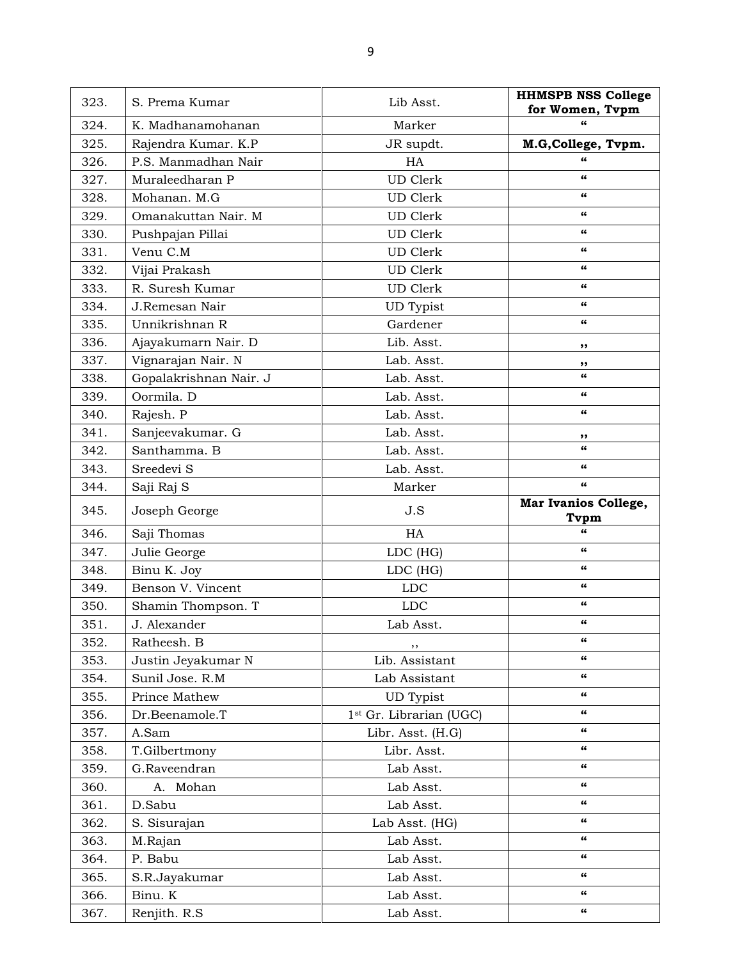| 323. | S. Prema Kumar         | Lib Asst.                           | <b>HHMSPB NSS College</b><br>for Women, Tvpm |
|------|------------------------|-------------------------------------|----------------------------------------------|
| 324. | K. Madhanamohanan      | Marker                              | $\epsilon$                                   |
| 325. | Rajendra Kumar. K.P    | JR supdt.                           | M.G, College, Tvpm.                          |
| 326. | P.S. Manmadhan Nair    | HA                                  | 66                                           |
| 327. | Muraleedharan P        | <b>UD</b> Clerk                     | $\epsilon$                                   |
| 328. | Mohanan. M.G           | <b>UD</b> Clerk                     | 66                                           |
| 329. | Omanakuttan Nair. M    | <b>UD</b> Clerk                     | 66                                           |
| 330. | Pushpajan Pillai       | <b>UD</b> Clerk                     | 66                                           |
| 331. | Venu C.M               | <b>UD</b> Clerk                     | 66                                           |
| 332. | Vijai Prakash          | <b>UD</b> Clerk                     | 66                                           |
| 333. | R. Suresh Kumar        | <b>UD</b> Clerk                     | 66                                           |
| 334. | J.Remesan Nair         | <b>UD</b> Typist                    | 66                                           |
| 335. | Unnikrishnan R         | Gardener                            | 66                                           |
| 336. | Ajayakumarn Nair. D    | Lib. Asst.                          | ,,                                           |
| 337. | Vignarajan Nair. N     | Lab. Asst.                          | ,,                                           |
| 338. | Gopalakrishnan Nair. J | Lab. Asst.                          | 66                                           |
| 339. | Oormila. D             | Lab. Asst.                          | 66                                           |
| 340. | Rajesh. P              | Lab. Asst.                          | 66                                           |
| 341. | Sanjeevakumar. G       | Lab. Asst.                          | "                                            |
| 342. | Santhamma. B           | Lab. Asst.                          | $\epsilon$                                   |
| 343. | Sreedevi S             | Lab. Asst.                          | 66                                           |
| 344. | Saji Raj S             | Marker                              | 66                                           |
| 345. | Joseph George          | J.S                                 | Mar Ivanios College,<br>Tvpm                 |
| 346. | Saji Thomas            | HA                                  | 66                                           |
| 347. | Julie George           | LDC (HG)                            | 66                                           |
| 348. | Binu K. Joy            | LDC (HG)                            | 66                                           |
| 349. | Benson V. Vincent      | <b>LDC</b>                          | 66                                           |
| 350. | Shamin Thompson. T     | <b>LDC</b>                          | 66                                           |
| 351. | J. Alexander           | Lab Asst.                           | 66                                           |
| 352. | Ratheesh. B            | ,,                                  | 66                                           |
| 353. | Justin Jeyakumar N     | Lib. Assistant                      | 66                                           |
| 354. | Sunil Jose, R.M        | Lab Assistant                       | 66                                           |
| 355. | Prince Mathew          | <b>UD</b> Typist                    | 66                                           |
| 356. | Dr.Beenamole.T         | 1 <sup>st</sup> Gr. Librarian (UGC) | 66                                           |
| 357. | A.Sam                  | Libr. Asst. (H.G)                   | $\epsilon\epsilon$                           |
| 358. | T.Gilbertmony          | Libr. Asst.                         | $\epsilon\epsilon$                           |
| 359. | G.Raveendran           | Lab Asst.                           | $\epsilon\epsilon$                           |
| 360. | A. Mohan               | Lab Asst.                           | 66                                           |
| 361. | D.Sabu                 | Lab Asst.                           | $\epsilon\epsilon$                           |
| 362. | S. Sisurajan           | Lab Asst. (HG)                      | 66                                           |
| 363. | M.Rajan                | Lab Asst.                           | 66                                           |
| 364. | P. Babu                | Lab Asst.                           | 66                                           |
| 365. | S.R.Jayakumar          | Lab Asst.                           | $\epsilon\epsilon$                           |
| 366. | Binu. K                | Lab Asst.                           | 66                                           |
| 367. | Renjith. R.S.          | Lab Asst.                           | 66                                           |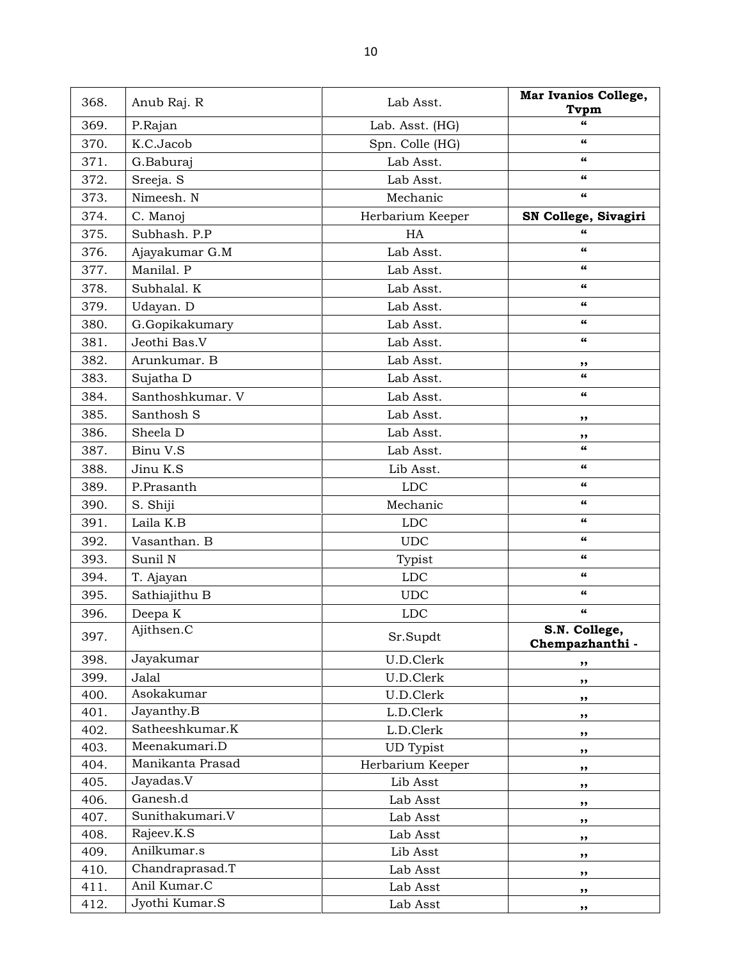| 368. | Anub Raj. R      | Lab Asst.        | Mar Ivanios College,                          |
|------|------------------|------------------|-----------------------------------------------|
|      |                  |                  | Tvpm                                          |
| 369. | P.Rajan          | Lab. Asst. (HG)  | 66                                            |
| 370. | K.C.Jacob        | Spn. Colle (HG)  | 66                                            |
| 371. | G.Baburaj        | Lab Asst.        | 66                                            |
| 372. | Sreeja. S        | Lab Asst.        | 66                                            |
| 373. | Nimeesh. N       | Mechanic         | $\epsilon$                                    |
| 374. | C. Manoj         | Herbarium Keeper | SN College, Sivagiri                          |
| 375. | Subhash, P.P.    | HA               | $\epsilon$                                    |
| 376. | Ajayakumar G.M   | Lab Asst.        | $\pmb{\epsilon} \pmb{\epsilon}$               |
| 377. | Manilal. P       | Lab Asst.        | 66                                            |
| 378. | Subhalal. K      | Lab Asst.        | 66                                            |
| 379. | Udayan. D        | Lab Asst.        | $\boldsymbol{\epsilon} \boldsymbol{\epsilon}$ |
| 380. | G.Gopikakumary   | Lab Asst.        | $\boldsymbol{\epsilon} \boldsymbol{\epsilon}$ |
| 381. | Jeothi Bas.V     | Lab Asst.        | $\pmb{\epsilon} \pmb{\epsilon}$               |
| 382. | Arunkumar. B     | Lab Asst.        | ,,                                            |
| 383. | Sujatha D        | Lab Asst.        | $\epsilon$                                    |
| 384. | Santhoshkumar. V | Lab Asst.        | $\pmb{\epsilon} \pmb{\epsilon}$               |
| 385. | Santhosh S       | Lab Asst.        | ,,                                            |
| 386. | Sheela D         | Lab Asst.        | ,,                                            |
| 387. | Binu V.S         | Lab Asst.        | $\epsilon$                                    |
| 388. | Jinu K.S         | Lib Asst.        | $\pmb{\epsilon} \pmb{\epsilon}$               |
| 389. | P.Prasanth       | <b>LDC</b>       | $\pmb{\epsilon} \pmb{\epsilon}$               |
| 390. | S. Shiji         | Mechanic         | $\boldsymbol{\epsilon} \boldsymbol{\epsilon}$ |
| 391. | Laila K.B        | <b>LDC</b>       | 66                                            |
| 392. | Vasanthan. B     | <b>UDC</b>       | $\boldsymbol{\epsilon} \boldsymbol{\epsilon}$ |
| 393. | Sunil N          | Typist           | $\boldsymbol{\epsilon} \boldsymbol{\epsilon}$ |
| 394. | T. Ajayan        | <b>LDC</b>       | 66                                            |
| 395. | Sathiajithu B    | <b>UDC</b>       | 66                                            |
| 396. | Deepa K          | <b>LDC</b>       | $\pmb{\epsilon} \pmb{\epsilon}$               |
| 397. | Ajithsen.C       | Sr.Supdt         | S.N. College,                                 |
|      |                  |                  | Chempazhanthi -                               |
| 398. | Jayakumar        | U.D.Clerk        | ,,                                            |
| 399. | Jalal            | U.D.Clerk        | ,,                                            |
| 400. | Asokakumar       | U.D.Clerk        | ,,                                            |
| 401. | Jayanthy.B       | L.D.Clerk        | ,,                                            |
| 402. | Satheeshkumar.K  | L.D.Clerk        | ,,                                            |
| 403. | Meenakumari.D    | <b>UD</b> Typist | ,,                                            |
| 404. | Manikanta Prasad | Herbarium Keeper | ,,                                            |
| 405. | Jayadas.V        | Lib Asst         | ,,                                            |
| 406. | Ganesh.d         | Lab Asst         | ,,                                            |
| 407. | Sunithakumari.V  | Lab Asst         | ,,                                            |
| 408. | Rajeev.K.S       | Lab Asst         | ,,                                            |
| 409. | Anilkumar.s      | Lib Asst         | ,,                                            |
| 410. | Chandraprasad.T  | Lab Asst         | ,,                                            |
| 411. | Anil Kumar.C     | Lab Asst         | ,,                                            |
| 412. | Jyothi Kumar.S   | Lab Asst         | $, \, \cdot$                                  |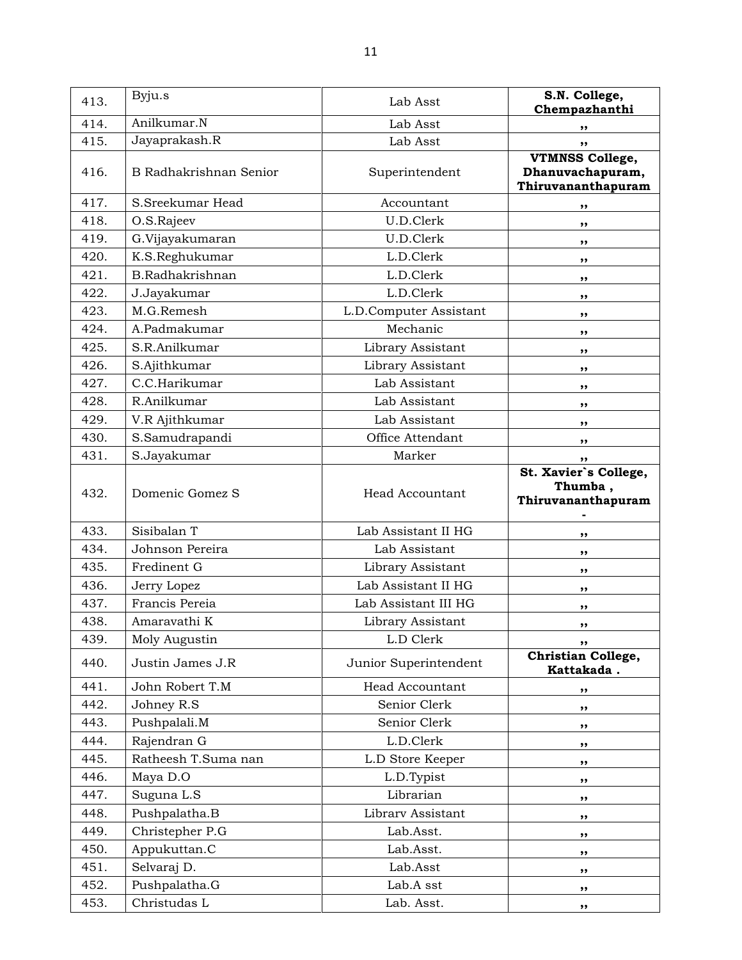| 413. | Byju.s                 | Lab Asst               | S.N. College,<br>Chempazhanthi                                   |
|------|------------------------|------------------------|------------------------------------------------------------------|
| 414. | Anilkumar.N            | Lab Asst               | ,,                                                               |
| 415. | Jayaprakash.R          | Lab Asst               | ,,                                                               |
| 416. | B Radhakrishnan Senior | Superintendent         | <b>VTMNSS College,</b><br>Dhanuvachapuram,<br>Thiruvananthapuram |
| 417. | S.Sreekumar Head       | Accountant             | ,,                                                               |
| 418. | O.S.Rajeev             | U.D.Clerk              | ,,                                                               |
| 419. | G.Vijayakumaran        | U.D.Clerk              | ,,                                                               |
| 420. | K.S.Reghukumar         | L.D.Clerk              | ,,                                                               |
| 421. | B.Radhakrishnan        | L.D.Clerk              | ,,                                                               |
| 422. | J.Jayakumar            | L.D.Clerk              | ,,                                                               |
| 423. | M.G.Remesh             | L.D.Computer Assistant | ,,                                                               |
| 424. | A.Padmakumar           | Mechanic               | ,,                                                               |
| 425. | S.R.Anilkumar          | Library Assistant      | ,,                                                               |
| 426. | S.Ajithkumar           | Library Assistant      | ,,                                                               |
| 427. | C.C.Harikumar          | Lab Assistant          | ,,                                                               |
| 428. | R.Anilkumar            | Lab Assistant          | ,,                                                               |
| 429. | V.R Ajithkumar         | Lab Assistant          | ,,                                                               |
| 430. | S.Samudrapandi         | Office Attendant       | ,,                                                               |
| 431. | S.Jayakumar            | Marker                 | ,,                                                               |
| 432. | Domenic Gomez S        | Head Accountant        | St. Xavier's College,<br>Thumba,<br>Thiruvananthapuram           |
| 433. | Sisibalan T            | Lab Assistant II HG    | ,,                                                               |
| 434. | Johnson Pereira        | Lab Assistant          | ,,                                                               |
| 435. | Fredinent G            | Library Assistant      | ,,                                                               |
| 436. | Jerry Lopez            | Lab Assistant II HG    | ,,                                                               |
| 437. | Francis Pereia         | Lab Assistant III HG   | ,,                                                               |
| 438. | Amaravathi K           | Library Assistant      | ,,                                                               |
| 439. | Moly Augustin          | L.D Clerk              | ,,                                                               |
| 440. | Justin James J.R       | Junior Superintendent  | Christian College,<br>Kattakada.                                 |
| 441. | John Robert T.M        | Head Accountant        | ,,                                                               |
| 442. | Johney R.S             | Senior Clerk           | ,,                                                               |
| 443. | Pushpalali.M           | Senior Clerk           | ,,                                                               |
| 444. | Rajendran G            | L.D.Clerk              | ,,                                                               |
| 445. | Ratheesh T.Suma nan    | L.D Store Keeper       | ,,                                                               |
| 446. | Maya D.O               | L.D.Typist             | ,,                                                               |
| 447. | Suguna L.S             | Librarian              | ,,                                                               |
| 448. | Pushpalatha.B          | Library Assistant      | ,,                                                               |
| 449. | Christepher P.G        | Lab.Asst.              | ,,                                                               |
| 450. | Appukuttan.C           | Lab.Asst.              | ,,                                                               |
| 451. | Selvaraj D.            | Lab.Asst               | ,,                                                               |
| 452. | Pushpalatha.G          | Lab.A sst              | ,,                                                               |
| 453. | Christudas L           | Lab. Asst.             | ,,                                                               |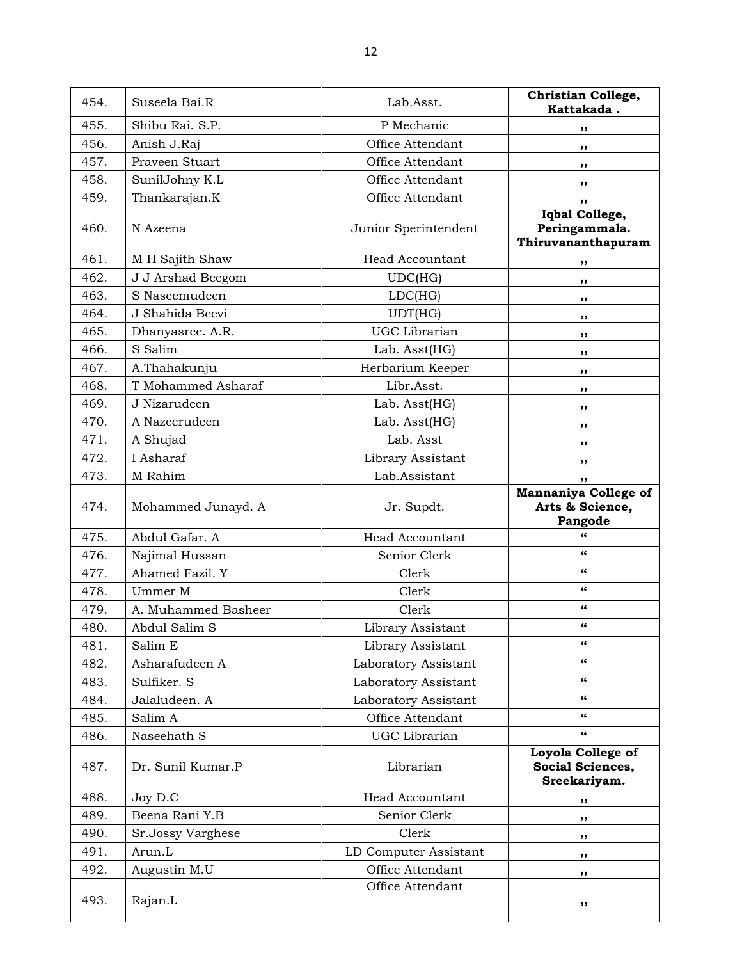| 454. | Suseela Bai.R       | Lab.Asst.              | Christian College,<br>Kattakada.                          |
|------|---------------------|------------------------|-----------------------------------------------------------|
| 455. | Shibu Rai. S.P.     | P Mechanic             | ,,                                                        |
| 456. | Anish J.Raj         | Office Attendant       | ,,                                                        |
| 457. | Praveen Stuart      | Office Attendant       | ,,                                                        |
| 458. | SunilJohny K.L      | Office Attendant       | ,,                                                        |
| 459. | Thankarajan.K       | Office Attendant       | ,,                                                        |
| 460. | N Azeena            | Junior Sperintendent   | Iqbal College,<br>Peringammala.<br>Thiruvananthapuram     |
| 461. | M H Sajith Shaw     | <b>Head Accountant</b> | ,,                                                        |
| 462. | J J Arshad Beegom   | UDC(HG)                | ,,                                                        |
| 463. | S Naseemudeen       | LDC(HG)                | ,,                                                        |
| 464. | J Shahida Beevi     | UDT(HG)                | ,,                                                        |
| 465. | Dhanyasree. A.R.    | UGC Librarian          | ,,                                                        |
| 466. | S Salim             | Lab. Asst(HG)          | ,,                                                        |
| 467. | A.Thahakunju        | Herbarium Keeper       | ,,                                                        |
| 468. | T Mohammed Asharaf  | Libr.Asst.             | ,,                                                        |
| 469. | J Nizarudeen        | Lab. Asst(HG)          | ,,                                                        |
| 470. | A Nazeerudeen       | Lab. Asst(HG)          | ,,                                                        |
| 471. | A Shujad            | Lab. Asst              | ,,                                                        |
| 472. | I Asharaf           | Library Assistant      | ,,                                                        |
| 473. | M Rahim             | Lab.Assistant          | ,,                                                        |
| 474. | Mohammed Junayd. A  | Jr. Supdt.             | <b>Mannaniya College of</b><br>Arts & Science,<br>Pangode |
| 475. | Abdul Gafar. A      | <b>Head Accountant</b> | "                                                         |
| 476. | Najimal Hussan      | Senior Clerk           | 66                                                        |
| 477. | Ahamed Fazil. Y     | Clerk                  | 66                                                        |
| 478. | Ummer M             | Clerk                  | 66                                                        |
| 479. | A. Muhammed Basheer | Clerk                  | 66                                                        |
| 480. | Abdul Salim S       | Library Assistant      | 66                                                        |
| 481. | Salim E             | Library Assistant      | 66                                                        |
| 482. | Asharafudeen A      | Laboratory Assistant   | 66                                                        |
| 483. | Sulfiker. S         | Laboratory Assistant   | 66                                                        |
| 484. | Jalaludeen. A       | Laboratory Assistant   | 66                                                        |
| 485. | Salim A             | Office Attendant       | 66                                                        |
| 486. | Naseehath S         | UGC Librarian          | $\epsilon$                                                |
| 487. | Dr. Sunil Kumar.P   | Librarian              | Loyola College of<br>Social Sciences,<br>Sreekariyam.     |
| 488. | Joy D.C             | Head Accountant        | ,,                                                        |
| 489. | Beena Rani Y.B      | Senior Clerk           | ,,                                                        |
| 490. | Sr.Jossy Varghese   | Clerk                  | ,,                                                        |
| 491. | Arun.L              | LD Computer Assistant  | ,,                                                        |
| 492. | Augustin M.U        | Office Attendant       | ,,                                                        |
| 493. | Rajan.L             | Office Attendant       | ,,                                                        |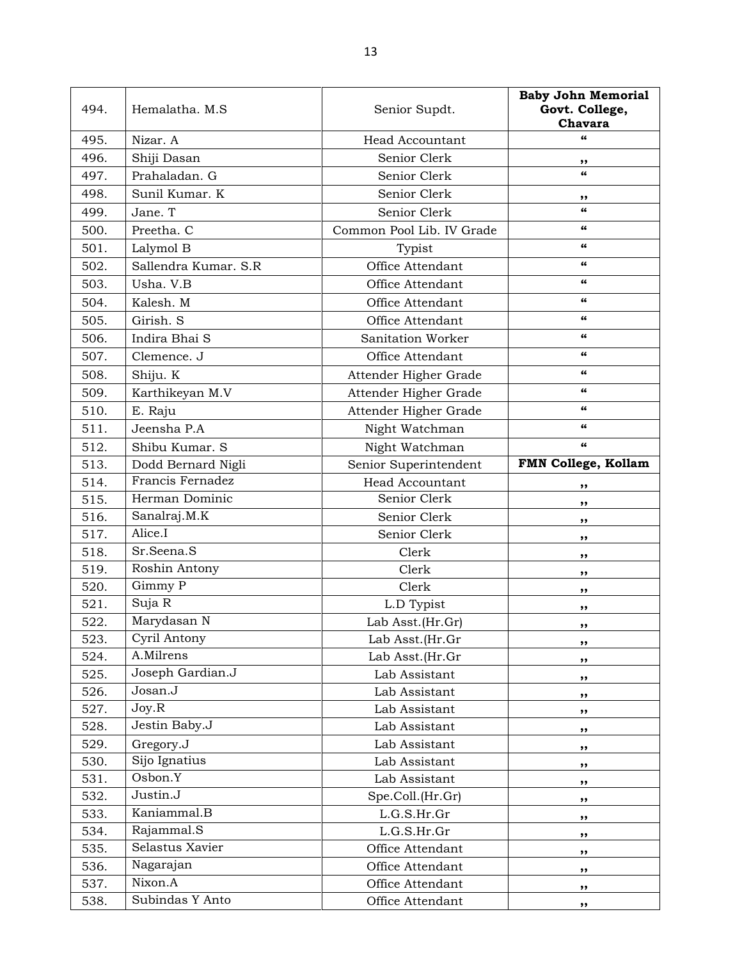| 494.         | Hemalatha. M.S              | Senior Supdt.                  | <b>Baby John Memorial</b><br>Govt. College,<br>Chavara |
|--------------|-----------------------------|--------------------------------|--------------------------------------------------------|
| 495.         | Nizar. A                    | <b>Head Accountant</b>         | 66                                                     |
| 496.         | Shiji Dasan                 | Senior Clerk                   | ,,                                                     |
| 497.         | Prahaladan. G               | Senior Clerk                   | $\epsilon$                                             |
| 498.         | Sunil Kumar. K              | Senior Clerk                   | ,,                                                     |
| 499.         | Jane. T                     | Senior Clerk                   | $\epsilon$                                             |
| 500.         | Preetha. C                  | Common Pool Lib. IV Grade      | 66                                                     |
| 501.         | Lalymol B                   | Typist                         | 66                                                     |
| 502.         | Sallendra Kumar. S.R        | Office Attendant               | 66                                                     |
| 503.         | Usha. V.B                   | Office Attendant               | 66                                                     |
| 504.         | Kalesh. M                   | Office Attendant               | 66                                                     |
| 505.         | Girish. S                   | Office Attendant               | 66                                                     |
| 506.         | Indira Bhai S               | Sanitation Worker              | 66                                                     |
| 507.         | Clemence. J                 | Office Attendant               | $\epsilon$                                             |
| 508.         | Shiju. K                    | Attender Higher Grade          | 66                                                     |
| 509.         | Karthikeyan M.V             | Attender Higher Grade          | 66                                                     |
| 510.         | E. Raju                     | Attender Higher Grade          | $\pmb{\epsilon} \pmb{\epsilon}$                        |
| 511.         | Jeensha P.A                 | Night Watchman                 | 66                                                     |
| 512.         | Shibu Kumar. S              | Night Watchman                 | 66                                                     |
| 513.         | Dodd Bernard Nigli          | Senior Superintendent          | FMN College, Kollam                                    |
| 514.         | Francis Fernadez            | <b>Head Accountant</b>         | ,,                                                     |
| 515.         | Herman Dominic              | Senior Clerk                   | ,,                                                     |
| 516.         | Sanalraj.M.K                | Senior Clerk                   | ,,                                                     |
| 517.         | Alice.I                     | Senior Clerk                   | ,,                                                     |
| 518.         | Sr.Seena.S                  | Clerk                          | ,,                                                     |
| 519.         | Roshin Antony               | Clerk                          | ,,                                                     |
| 520.         | Gimmy P                     | Clerk                          | ,,                                                     |
| 521.         | Suja R                      | L.D Typist                     | ,,                                                     |
| 522.         | Marydasan N                 | Lab Asst.(Hr.Gr)               | ,,                                                     |
| 523.         | Cyril Antony                | Lab Asst.(Hr.Gr                | ,,                                                     |
| 524.         | A.Milrens                   | Lab Asst.(Hr.Gr                | ,,                                                     |
| 525.         | Joseph Gardian.J<br>Josan.J | Lab Assistant                  | ,,                                                     |
| 526.         | Joy.R                       | Lab Assistant                  | ,,                                                     |
| 527.<br>528. | Jestin Baby.J               | Lab Assistant<br>Lab Assistant | ,,                                                     |
| 529.         | Gregory.J                   | Lab Assistant                  | ,,                                                     |
| 530.         | Sijo Ignatius               | Lab Assistant                  | ,,                                                     |
| 531.         | Osbon.Y                     | Lab Assistant                  | ,,                                                     |
| 532.         | Justin.J                    | Spe.Coll.(Hr.Gr)               | ,,                                                     |
| 533.         | Kaniammal.B                 | L.G.S.Hr.Gr                    | ,,                                                     |
| 534.         | Rajammal. $\overline{S}$    | L.G.S.Hr.Gr                    | ,,<br>,,                                               |
| 535.         | Selastus Xavier             | Office Attendant               | ,,                                                     |
| 536.         | Nagarajan                   | Office Attendant               | ,,                                                     |
| 537.         | Nixon.A                     | Office Attendant               | ,,                                                     |
| 538.         | Subindas Y Anto             | Office Attendant               | ,,                                                     |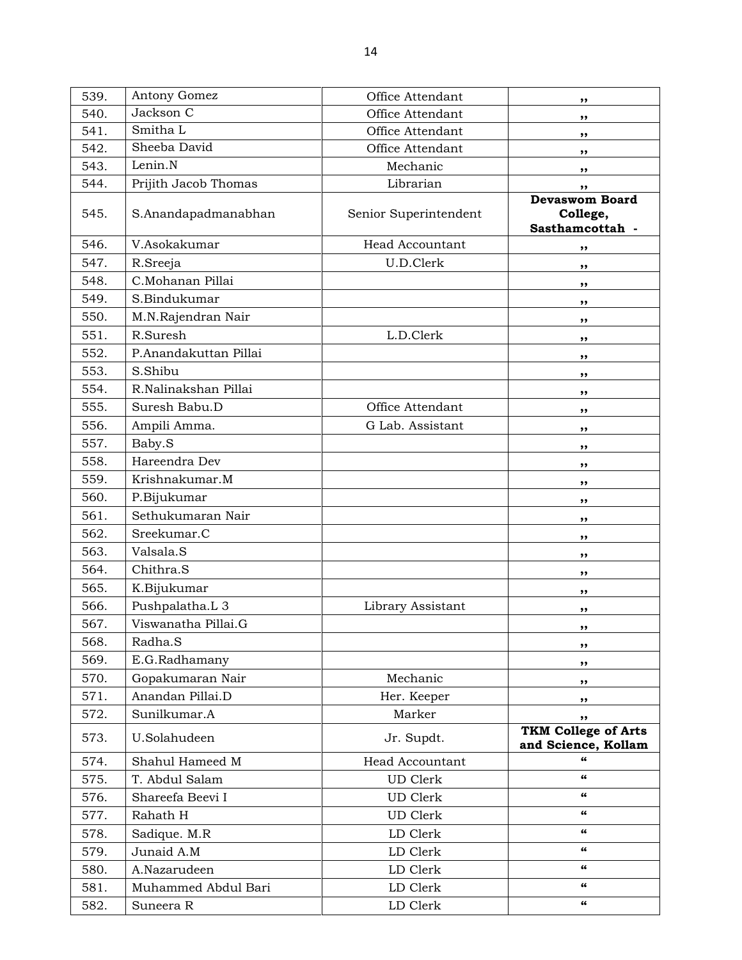539. Antony Gomez **Office Attendant** ,, 540. Jackson C Office Attendant ,, 541. Smitha L (1994), Smitha L (1995), Smitha L (1995), Smitha L (1996), Smitha L (1996), Smitha L (1996), Smitha L (1996), Smitha L (1996), Smitha L (1996), Smitha L (1996), Smitha L (1996), Smitha L (1997), Smitha L (199 542. Sheeba David **Office Attendant** ,,  $543.$  Lenin.N Mechanic  $\blacksquare$ , 544. Prijith Jacob Thomas (b) Librarian (b),  $\frac{1}{2}$ ,  $\frac{1}{2}$ ,  $\frac{1}{2}$ 545. S.Anandapadmanabhan | Senior Superintendent Devaswom Board College, Sasthamcottah - 546. V.Asokakumar Head Accountant ,, 547. R.Sreeja U.D.Clerk ,, 548. C.Mohanan Pillai ,, 549. S.Bindukumar ,, 550. M.N.Rajendran Nair ,, 551. R.Suresh (b.D.Clerk ,, 552. P.Anandakuttan Pillai (1989), 1986, 1987, 1988, 1989, 1989, 1989, 1989, 1989, 1989, 1989, 1989, 1989, 19 553. S.Shibu ,, 554. R.Nalinakshan Pillai (1989), shine and the state of the state of the state of the state of the state of the state of the state of the state of the state of the state of the state of the state of the state of the state 555. Suresh Babu.D (1) Office Attendant (1) (1), 556. Ampili Amma. (a) G Lab. Assistant (b),  $\mathcal{L}$ ,  $\mathcal{L}$ 557. Baby.S ,, 558. Hareendra Dev ,, 559. Krishnakumar.M ,, 560. P.Bijukumar ,, 561. Sethukumaran Nair (1989), 1986. Sethukumaran Nair (1989), 1986. Sethukumaran Nair (1989), 1986. Sethukumaran Nair (1989), 1986. Sethukumaran Nair (1989), 1986. Sethukumaran Nair (1989), 1986. Sethukumaran Nair (1989), 562. Sreekumar.C ,, 563. Valsala.S ,, 564. Chithra.S ,, 565. K.Bijukumar ,, 566. Pushpalatha.L 3 bibrary Assistant (bushpalatha.L 3  $\,$ , 567. Viswanatha Pillai.G (1989), suite and the set of the set of the set of the set of the set of the set of the set of the set of the set of the set of the set of the set of the set of the set of the set of the set of the 568. Radha.S ,, 569. E.G.Radhamany ,, 570. Gopakumaran Nair (Goranic Mechanic ), where  $\mathbf{M}$ 571. Anandan Pillai.D **Her. Keeper** ,, 572. Sunilkumar.A Marker Marker , 573. U.Solahudeen Jr. Supdt. TKM College of Arts and Science, Kollam 574. Shahul Hameed M Head Accountant Number 374. 575. T. Abdul Salam UD Clerk " 576. Shareefa Beevi I UD Clerk " 577. Rahath H UD Clerk " 578. Sadique. M.R LD Clerk " 579. Junaid A.M LD Clerk " 580. A.Nazarudeen LD Clerk ED Clerk " 581. Muhammed Abdul Bari  $\qquad \qquad$  LD Clerk " 582. Suneera R LD Clerk LD Clerk (1998)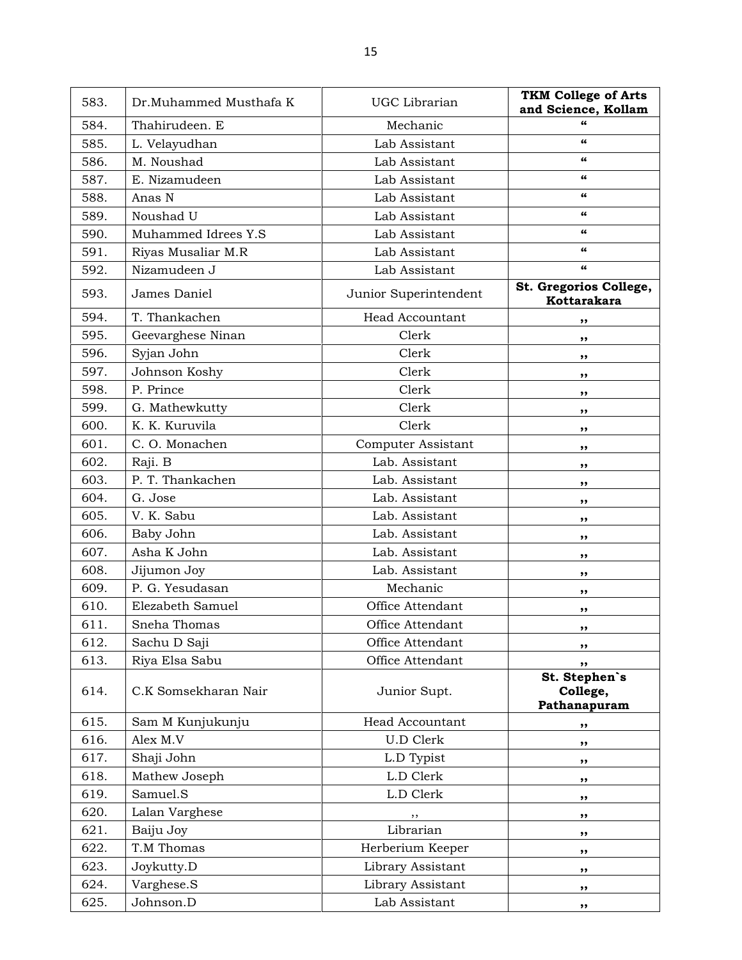| 583. | Dr.Muhammed Musthafa K | UGC Librarian             | <b>TKM College of Arts</b><br>and Science, Kollam |
|------|------------------------|---------------------------|---------------------------------------------------|
| 584. | Thahirudeen. E         | Mechanic                  | "                                                 |
| 585. | L. Velayudhan          | Lab Assistant             | $\epsilon$                                        |
| 586. | M. Noushad             | Lab Assistant             | 66                                                |
| 587. | E. Nizamudeen          | Lab Assistant             | 66                                                |
| 588. | Anas N                 | Lab Assistant             | 66                                                |
| 589. | Noushad U              | Lab Assistant             | 66                                                |
| 590. | Muhammed Idrees Y.S    | Lab Assistant             | $\boldsymbol{\epsilon}\boldsymbol{\epsilon}$      |
| 591. | Riyas Musaliar M.R     | Lab Assistant             | 66                                                |
| 592. | Nizamudeen J           | Lab Assistant             | 66                                                |
| 593. | James Daniel           | Junior Superintendent     | St. Gregorios College,<br>Kottarakara             |
| 594. | T. Thankachen          | <b>Head Accountant</b>    | ,,                                                |
| 595. | Geevarghese Ninan      | Clerk                     | ,,                                                |
| 596. | Syjan John             | Clerk                     | ,,                                                |
| 597. | Johnson Koshy          | Clerk                     | ,,                                                |
| 598. | P. Prince              | Clerk                     | ,,                                                |
| 599. | G. Mathewkutty         | Clerk                     | ,,                                                |
| 600. | K. K. Kuruvila         | Clerk                     | ,,                                                |
| 601. | C.O. Monachen          | <b>Computer Assistant</b> | ,,                                                |
| 602. | Raji. B                | Lab. Assistant            | ,,                                                |
| 603. | P. T. Thankachen       | Lab. Assistant            | ,,                                                |
| 604. | G. Jose                | Lab. Assistant            | ,,                                                |
| 605. | V. K. Sabu             | Lab. Assistant            | ,,                                                |
| 606. | Baby John              | Lab. Assistant            | ,,                                                |
| 607. | Asha K John            | Lab. Assistant            | ,,                                                |
| 608. | Jijumon Joy            | Lab. Assistant            | ,,                                                |
| 609. | P. G. Yesudasan        | Mechanic                  | ,,                                                |
| 610. | Elezabeth Samuel       | Office Attendant          | ,,                                                |
| 611. | Sneha Thomas           | Office Attendant          | ,,                                                |
| 612. | Sachu D Saji           | Office Attendant          | ,,                                                |
| 613. | Riya Elsa Sabu         | Office Attendant          | ,,                                                |
| 614. | C.K Somsekharan Nair   | Junior Supt.              | St. Stephen's<br>College,<br>Pathanapuram         |
| 615. | Sam M Kunjukunju       | Head Accountant           | ,,                                                |
| 616. | Alex M.V               | <b>U.D Clerk</b>          | ,,                                                |
| 617. | Shaji John             | L.D Typist                | ,,                                                |
| 618. | Mathew Joseph          | L.D Clerk                 | ,,                                                |
| 619. | Samuel.S               | L.D Clerk                 | ,,                                                |
| 620. | Lalan Varghese         | ,,                        | ,,                                                |
| 621. | Baiju Joy              | Librarian                 | ,,                                                |
| 622. | T.M Thomas             | Herberium Keeper          | ,,                                                |
| 623. | Joykutty.D             | Library Assistant         | ,,                                                |
| 624. | Varghese.S             | Library Assistant         | ,,                                                |
| 625. | Johnson.D              | Lab Assistant             | ,,                                                |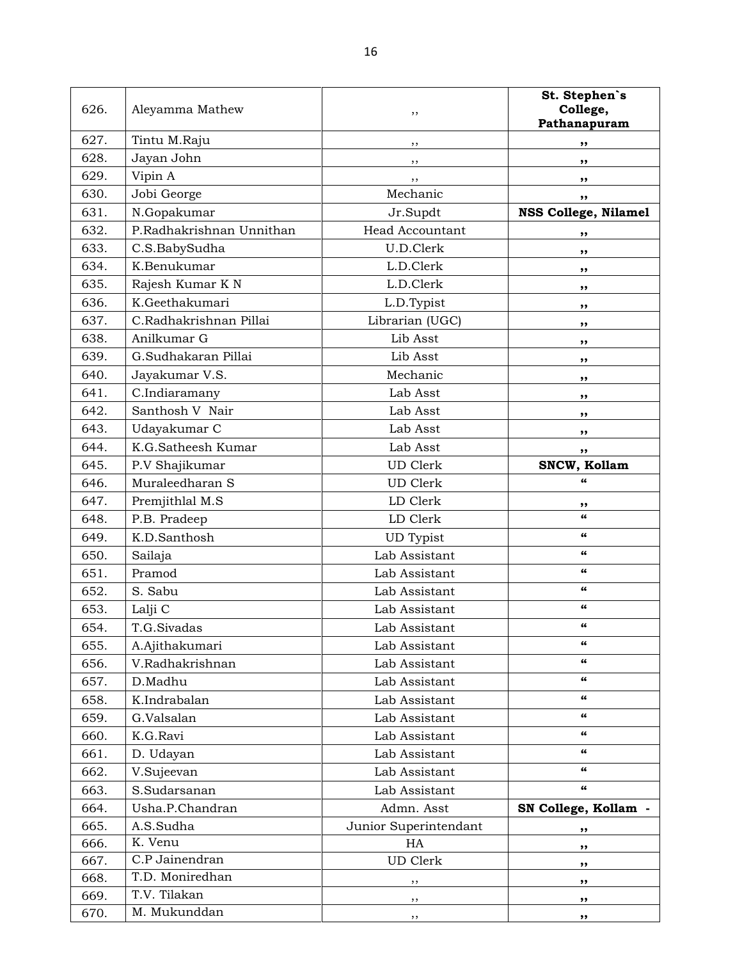| 626. | Aleyamma Mathew          | ,,                     | St. Stephen's<br>College,<br>Pathanapuram |
|------|--------------------------|------------------------|-------------------------------------------|
| 627. | Tintu M.Raju             | ,,                     | ,,                                        |
| 628. | Jayan John               | ,,                     | ,,                                        |
| 629. | Vipin A                  | ,,                     | ,,                                        |
| 630. | Jobi George              | Mechanic               | ,,                                        |
| 631. | N.Gopakumar              | Jr.Supdt               | <b>NSS College, Nilamel</b>               |
| 632. | P.Radhakrishnan Unnithan | <b>Head Accountant</b> | ,,                                        |
| 633. | C.S.BabySudha            | U.D.Clerk              | ,,                                        |
| 634. | K.Benukumar              | L.D.Clerk              | ,,                                        |
| 635. | Rajesh Kumar K N         | L.D.Clerk              | ,,                                        |
| 636. | K.Geethakumari           | L.D.Typist             | ,,                                        |
| 637. | C.Radhakrishnan Pillai   | Librarian (UGC)        | ,,                                        |
| 638. | Anilkumar G              | Lib Asst               | ,,                                        |
| 639. | G.Sudhakaran Pillai      | Lib Asst               | ,,                                        |
| 640. | Jayakumar V.S.           | Mechanic               | ,,                                        |
| 641. | C.Indiaramany            | Lab Asst               | ,,                                        |
| 642. | Santhosh V Nair          | Lab Asst               | ,,                                        |
| 643. | Udayakumar C             | Lab Asst               | ,,                                        |
| 644. | K.G.Satheesh Kumar       | Lab Asst               | ,,                                        |
| 645. | P.V Shajikumar           | <b>UD</b> Clerk        | SNCW, Kollam                              |
| 646. | Muraleedharan S          | <b>UD</b> Clerk        | $\epsilon$                                |
| 647. | Premjithlal M.S          | LD Clerk               | ,,                                        |
| 648. | P.B. Pradeep             | LD Clerk               | $\epsilon$                                |
| 649. | K.D.Santhosh             | <b>UD</b> Typist       | 66                                        |
| 650. | Sailaja                  | Lab Assistant          | 66                                        |
| 651. | Pramod                   | Lab Assistant          | 66                                        |
| 652. | S. Sabu                  | Lab Assistant          | $\epsilon$                                |
| 653. | Lalji C                  | Lab Assistant          | 66                                        |
| 654. | T.G.Sivadas              | Lab Assistant          | 66                                        |
| 655. | A.Ajithakumari           | Lab Assistant          | 66                                        |
| 656. | V.Radhakrishnan          | Lab Assistant          | 66                                        |
| 657. | D.Madhu                  | Lab Assistant          | 66                                        |
| 658. | K.Indrabalan             | Lab Assistant          | 66                                        |
| 659. | G.Valsalan               | Lab Assistant          | 66                                        |
| 660. | K.G.Ravi                 | Lab Assistant          | 66                                        |
| 661. | D. Udayan                | Lab Assistant          | 66                                        |
| 662. | V.Sujeevan               | Lab Assistant          | 66                                        |
| 663. | S.Sudarsanan             | Lab Assistant          | $\epsilon$                                |
| 664. | Usha.P.Chandran          | Admn. Asst             | SN College, Kollam -                      |
| 665. | A.S.Sudha                | Junior Superintendant  | ,,                                        |
| 666. | K. Venu                  | HA                     | ,,                                        |
| 667. | C.P Jainendran           | <b>UD</b> Clerk        | ,,                                        |
| 668. | T.D. Moniredhan          | ,,                     | ,,                                        |
| 669. | T.V. Tilakan             | , ,                    | ,,                                        |
| 670. | M. Mukunddan             | ,,                     | ,,                                        |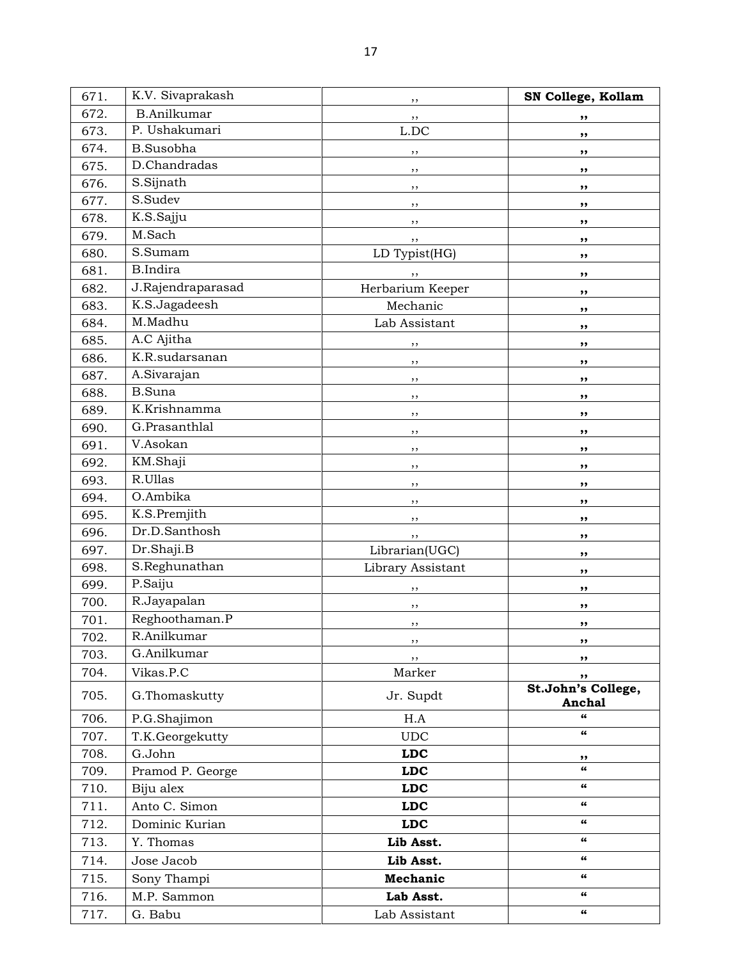| 671. | K.V. Sivaprakash   | ,,                | SN College, Kollam           |
|------|--------------------|-------------------|------------------------------|
| 672. | <b>B.Anilkumar</b> | ,,                | ,,                           |
| 673. | P. Ushakumari      | $L$ .DC           | ,,                           |
| 674. | <b>B.Susobha</b>   | ,,                | ,,                           |
| 675. | D.Chandradas       | ,,                | ,,                           |
| 676. | S.Sijnath          | ,,                | ,,                           |
| 677. | S.Sudev            | ,,                | ,,                           |
| 678. | K.S.Sajju          | ,,                | ,,                           |
| 679. | M.Sach             | ,,                | ,,                           |
| 680. | S.Sumam            | LD Typist(HG)     | ,,                           |
| 681. | <b>B.Indira</b>    | ,,                | ,,                           |
| 682. | J.Rajendraparasad  | Herbarium Keeper  | ,,                           |
| 683. | K.S.Jagadeesh      | Mechanic          | ,,                           |
| 684. | M.Madhu            | Lab Assistant     | ,,                           |
| 685. | A.C Ajitha         | ,,                | ,,                           |
| 686. | K.R.sudarsanan     | ,,                | ,,                           |
| 687. | A.Sivarajan        | , ,               | ,,                           |
| 688. | <b>B.Suna</b>      | ,,                | ,,                           |
| 689. | K.Krishnamma       | ,,                | ,,                           |
| 690. | G.Prasanthlal      | ,,                | ,,                           |
| 691. | V.Asokan           | ,,                | ,,                           |
| 692. | KM.Shaji           | ,,                | ,,                           |
| 693. | R.Ullas            | ,,                | ,,                           |
| 694. | O.Ambika           | ,,                | ,,                           |
| 695. | K.S.Premjith       | ,,                | ,,                           |
| 696. | Dr.D.Santhosh      | ,,                | ,,                           |
| 697. | Dr.Shaji.B         | Librarian(UGC)    | ,,                           |
| 698. | S.Reghunathan      | Library Assistant | ,,                           |
| 699. | P.Saiju            | ,,                | ,,                           |
| 700. | R.Jayapalan        | ,,                | ,,                           |
| 701. | Reghoothaman.P     | ,,                | ,,                           |
| 702. | R.Anilkumar        | ,,                | ,,                           |
| 703. | G.Anilkumar        | ,,                | ,,                           |
| 704. | Vikas.P.C          | Marker            | ,,                           |
| 705. | G.Thomaskutty      | Jr. Supdt         | St.John's College,<br>Anchal |
| 706. | P.G.Shajimon       | H.A               | 66                           |
| 707. | T.K.Georgekutty    | <b>UDC</b>        | $\overline{\mathbf{a}}$      |
| 708. | G.John             | <b>LDC</b>        | ,,                           |
| 709. | Pramod P. George   | LDC               | $\epsilon$                   |
| 710. | Biju alex          | LDC               | 66                           |
| 711. | Anto C. Simon      | <b>LDC</b>        | 66                           |
| 712. | Dominic Kurian     | <b>LDC</b>        | 66                           |
| 713. | Y. Thomas          | Lib Asst.         | 66                           |
| 714. | Jose Jacob         | Lib Asst.         | 66                           |
| 715. | Sony Thampi        | Mechanic          | 66                           |
| 716. | M.P. Sammon        | Lab Asst.         | 66                           |
| 717. | G. Babu            | Lab Assistant     | 66                           |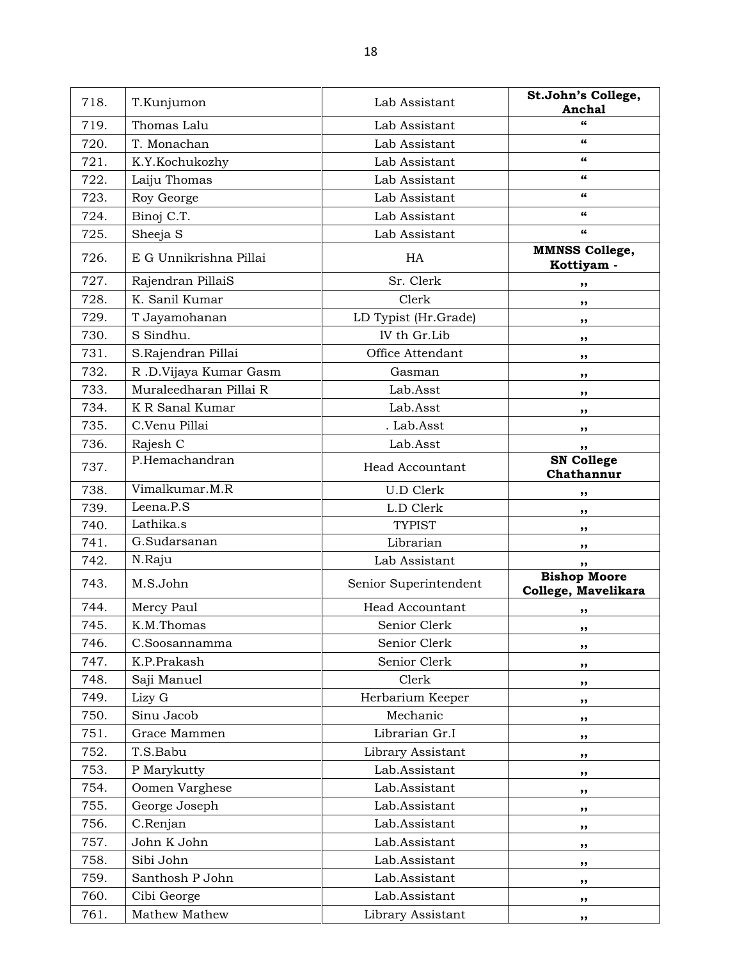| 718. | T.Kunjumon             | Lab Assistant          | St.John's College,<br>Anchal               |
|------|------------------------|------------------------|--------------------------------------------|
| 719. | Thomas Lalu            | Lab Assistant          | 66                                         |
| 720. | T. Monachan            | Lab Assistant          | $\epsilon$                                 |
| 721. | K.Y.Kochukozhy         | Lab Assistant          | 66                                         |
| 722. | Laiju Thomas           | Lab Assistant          | $\epsilon$                                 |
| 723. | Roy George             | Lab Assistant          | 66                                         |
| 724. | Binoj C.T.             | Lab Assistant          | 66                                         |
| 725. | Sheeja S               | Lab Assistant          | $\pmb{\epsilon} \pmb{\epsilon}$            |
| 726. | E G Unnikrishna Pillai | HA                     | <b>MMNSS College,</b><br>Kottiyam -        |
| 727. | Rajendran PillaiS      | Sr. Clerk              | ,,                                         |
| 728. | K. Sanil Kumar         | Clerk                  | ,,                                         |
| 729. | T Jayamohanan          | LD Typist (Hr.Grade)   | ,,                                         |
| 730. | S Sindhu.              | IV th Gr.Lib           | ,,                                         |
| 731. | S.Rajendran Pillai     | Office Attendant       |                                            |
| 732. | R .D.Vijaya Kumar Gasm | Gasman                 | ,,                                         |
| 733. | Muraleedharan Pillai R | Lab.Asst               | ,,                                         |
| 734. | K R Sanal Kumar        | Lab.Asst               | ,,                                         |
| 735. | C.Venu Pillai          | . Lab.Asst             | ,,                                         |
| 736. | Rajesh C               | Lab.Asst               | ,,                                         |
| 737. | P.Hemachandran         | <b>Head Accountant</b> | ,,<br><b>SN College</b><br>Chathannur      |
| 738. | Vimalkumar.M.R         | <b>U.D Clerk</b>       | ,,                                         |
| 739. | Leena.P.S              | L.D Clerk              | ,,                                         |
| 740. | Lathika.s              | <b>TYPIST</b>          | ,,                                         |
| 741. | G.Sudarsanan           | Librarian              | ,,                                         |
| 742. | N.Raju                 | Lab Assistant          | ,,                                         |
| 743. | M.S.John               | Senior Superintendent  | <b>Bishop Moore</b><br>College, Mavelikara |
| 744. | Mercy Paul             | <b>Head Accountant</b> | ,,                                         |
| 745. | K.M.Thomas             | Senior Clerk           | ,,                                         |
| 746. | C.Soosannamma          | Senior Clerk           | ,,                                         |
| 747. | K.P.Prakash            | Senior Clerk           | ,,                                         |
| 748. | Saji Manuel            | Clerk                  | ,,                                         |
| 749. | Lizy G                 | Herbarium Keeper       | ,,                                         |
| 750. | Sinu Jacob             | Mechanic               | ,,                                         |
| 751. | Grace Mammen           | Librarian Gr.I         | ,,                                         |
| 752. | T.S.Babu               | Library Assistant      | ,,                                         |
| 753. | P Marykutty            | Lab.Assistant          | ,,                                         |
| 754. | Oomen Varghese         | Lab.Assistant          | ,,                                         |
| 755. | George Joseph          | Lab.Assistant          | ,,                                         |
| 756. | C.Renjan               | Lab.Assistant          | ,,                                         |
| 757. | John K John            | Lab.Assistant          | ,,                                         |
| 758. | Sibi John              | Lab.Assistant          | ,,                                         |
| 759. | Santhosh P John        | Lab.Assistant          | ,,                                         |
| 760. | Cibi George            | Lab.Assistant          | ,,                                         |
| 761. | Mathew Mathew          | Library Assistant      | ,,                                         |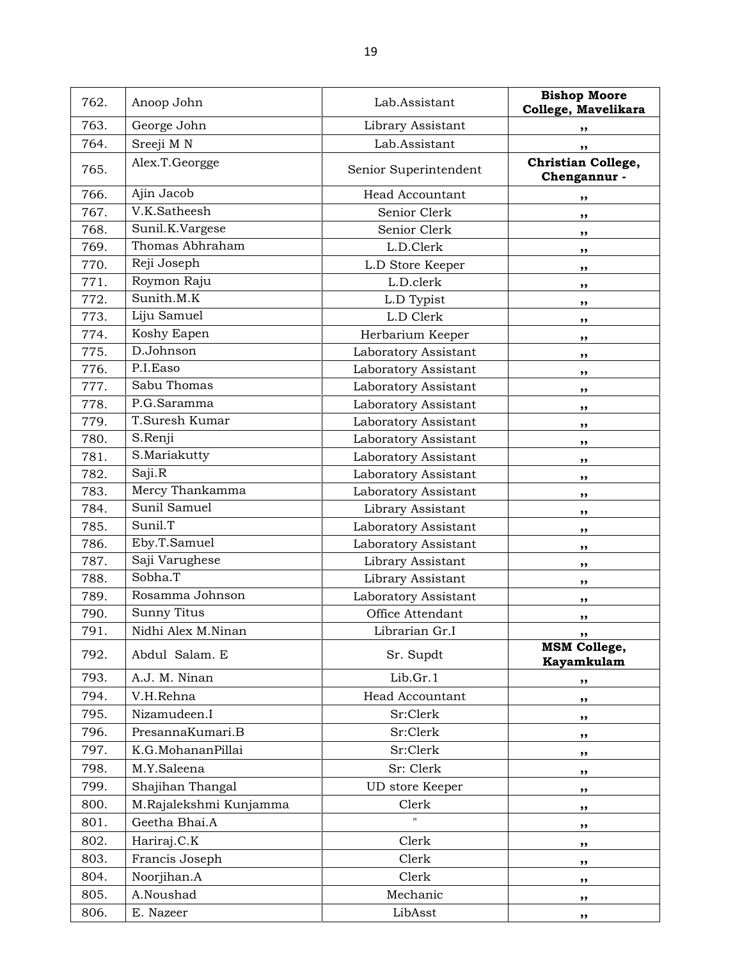| 762. | Anoop John             | Lab.Assistant          | <b>Bishop Moore</b><br>College, Mavelikara |
|------|------------------------|------------------------|--------------------------------------------|
| 763. | George John            | Library Assistant      | ,,                                         |
| 764. | Sreeji M N             | Lab.Assistant          | ,,                                         |
| 765. | Alex.T.Georgge         | Senior Superintendent  | Christian College,<br>Chengannur -         |
| 766. | Ajin Jacob             | <b>Head Accountant</b> | ,,                                         |
| 767. | V.K.Satheesh           | Senior Clerk           | ,,                                         |
| 768. | Sunil.K.Vargese        | Senior Clerk           | ,,                                         |
| 769. | Thomas Abhraham        | L.D.Clerk              | ,,                                         |
| 770. | Reji Joseph            | L.D Store Keeper       | ,,                                         |
| 771. | Roymon Raju            | L.D.clerk              | ,,                                         |
| 772. | Sunith.M.K             | L.D Typist             | ,,                                         |
| 773. | Liju Samuel            | L.D Clerk              | ,,                                         |
| 774. | Koshy Eapen            | Herbarium Keeper       | ,,                                         |
| 775. | D.Johnson              | Laboratory Assistant   | ,,                                         |
| 776. | P.I.Easo               | Laboratory Assistant   | ,,                                         |
| 777. | Sabu Thomas            | Laboratory Assistant   | ,,                                         |
| 778. | P.G.Saramma            | Laboratory Assistant   | ,,                                         |
| 779. | T.Suresh Kumar         | Laboratory Assistant   | ,,                                         |
| 780. | S.Renji                | Laboratory Assistant   | ,,                                         |
| 781. | S.Mariakutty           | Laboratory Assistant   | ,,                                         |
| 782. | Saji.R                 | Laboratory Assistant   | ,,                                         |
| 783. | Mercy Thankamma        | Laboratory Assistant   | ,,                                         |
| 784. | Sunil Samuel           | Library Assistant      | ,,                                         |
| 785. | Sunil.T                | Laboratory Assistant   | ,,                                         |
| 786. | Eby.T.Samuel           | Laboratory Assistant   | ,,                                         |
| 787. | Saji Varughese         | Library Assistant      | ,,                                         |
| 788. | Sobha.T                | Library Assistant      | ,,                                         |
| 789. | Rosamma Johnson        | Laboratory Assistant   | ,,                                         |
| 790. | <b>Sunny Titus</b>     | Office Attendant       | ,,                                         |
| 791. | Nidhi Alex M.Ninan     | Librarian Gr.I         | ,,                                         |
| 792. | Abdul Salam. E         | Sr. Supdt              | <b>MSM College,</b><br>Kayamkulam          |
| 793. | A.J. M. Ninan          | Lib.Gr.1               | ,,                                         |
| 794. | V.H.Rehna              | Head Accountant        | ,,                                         |
| 795. | Nizamudeen.I           | Sr:Clerk               | ,,                                         |
| 796. | PresannaKumari.B       | Sr:Clerk               | ,,                                         |
| 797. | K.G.MohananPillai      | Sr:Clerk               | ,,                                         |
| 798. | M.Y.Saleena            | Sr: Clerk              | ,,                                         |
| 799. | Shajihan Thangal       | UD store Keeper        | ,,                                         |
| 800. | M.Rajalekshmi Kunjamma | Clerk                  | ,,                                         |
| 801. | Geetha Bhai.A          |                        | ,,                                         |
| 802. | Hariraj.C.K            | Clerk                  | ,,                                         |
| 803. | Francis Joseph         | Clerk                  | ,,                                         |
| 804. | Noorjihan.A            | Clerk                  | ,,                                         |
| 805. | A.Noushad              | Mechanic               | ,,                                         |
| 806. | E. Nazeer              | LibAsst                | ,,                                         |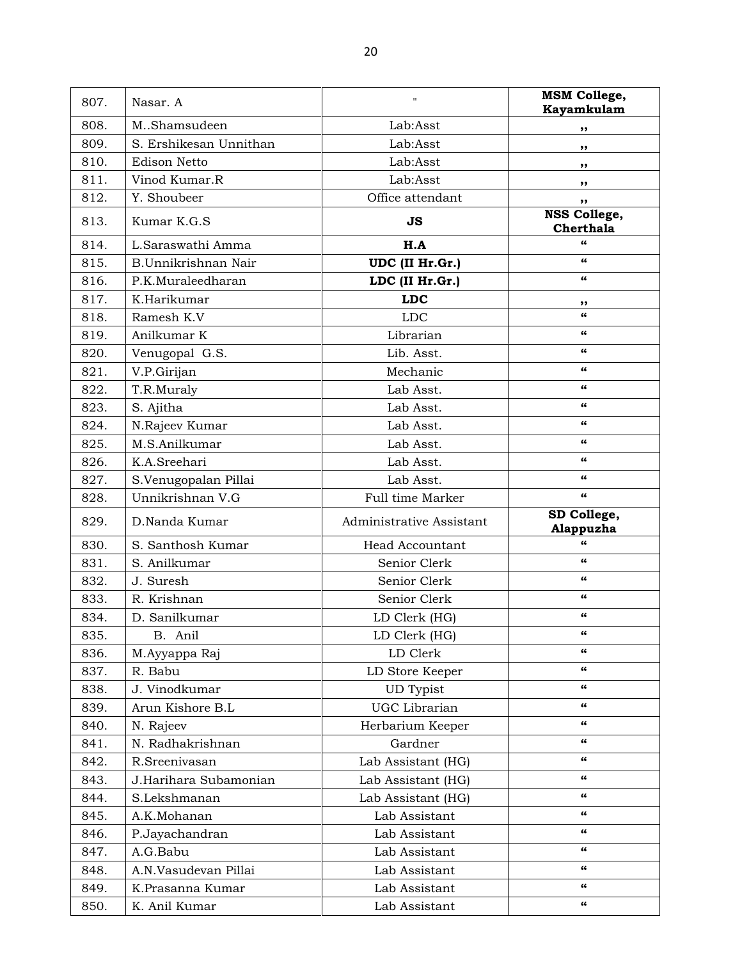| 807. | Nasar. A               | $\mathbf{H}$             | <b>MSM College,</b><br>Kayamkulam |
|------|------------------------|--------------------------|-----------------------------------|
| 808. | M.Shamsudeen           | Lab:Asst                 | ,,                                |
| 809. | S. Ershikesan Unnithan | Lab:Asst                 | ,,                                |
| 810. | <b>Edison Netto</b>    | Lab:Asst                 | ,,                                |
| 811. | Vinod Kumar.R          | Lab:Asst                 |                                   |
| 812. | Y. Shoubeer            | Office attendant         | ,,<br>,,                          |
| 813. | Kumar K.G.S            | JS                       | NSS College,<br>Cherthala         |
| 814. | L.Saraswathi Amma      | H.A                      | 66                                |
| 815. | B.Unnikrishnan Nair    | UDC (II Hr.Gr.)          | 66                                |
| 816. | P.K.Muraleedharan      | LDC (II Hr.Gr.)          | 66                                |
| 817. | K.Harikumar            | <b>LDC</b>               | ,,                                |
| 818. | Ramesh K.V             | <b>LDC</b>               | 66                                |
| 819. | Anilkumar K            | Librarian                | 66                                |
| 820. | Venugopal G.S.         | Lib. Asst.               | 66                                |
| 821. | V.P.Girijan            | Mechanic                 | 66                                |
| 822. | T.R.Muraly             | Lab Asst.                | 66                                |
| 823. | S. Ajitha              | Lab Asst.                | 66                                |
| 824. | N.Rajeev Kumar         | Lab Asst.                | $\epsilon$                        |
| 825. | M.S.Anilkumar          | Lab Asst.                | $\epsilon$                        |
| 826. | K.A.Sreehari           | Lab Asst.                | 66                                |
| 827. | S.Venugopalan Pillai   | Lab Asst.                | $\epsilon$                        |
| 828. | Unnikrishnan V.G       | Full time Marker         | $\epsilon$                        |
| 829. | D.Nanda Kumar          | Administrative Assistant | SD College,<br>Alappuzha          |
| 830. | S. Santhosh Kumar      | <b>Head Accountant</b>   | 66                                |
| 831. | S. Anilkumar           | Senior Clerk             | 66                                |
| 832. | J. Suresh              | Senior Clerk             | 66                                |
| 833. | R. Krishnan            | Senior Clerk             | 66                                |
| 834. | D. Sanilkumar          | LD Clerk (HG)            | $\epsilon$                        |
| 835. | B. Anil                | LD Clerk (HG)            |                                   |
| 836. | M.Ayyappa Raj          | LD Clerk                 | 66                                |
| 837. | R. Babu                | LD Store Keeper          | 66                                |
| 838. | J. Vinodkumar          | UD Typist                | 66                                |
| 839. | Arun Kishore B.L       | UGC Librarian            | 66                                |
| 840. | N. Rajeev              | Herbarium Keeper         | 66                                |
| 841. | N. Radhakrishnan       | Gardner                  | 66                                |
| 842. | R.Sreenivasan          | Lab Assistant (HG)       | 66                                |
| 843. | J.Harihara Subamonian  | Lab Assistant (HG)       | 66                                |
| 844. | S.Lekshmanan           | Lab Assistant (HG)       | 66                                |
| 845. | A.K.Mohanan            | Lab Assistant            | 66                                |
| 846. | P.Jayachandran         | Lab Assistant            | 66                                |
| 847. | A.G.Babu               | Lab Assistant            | 66                                |
| 848. | A.N.Vasudevan Pillai   | Lab Assistant            | 66                                |
| 849. | K.Prasanna Kumar       | Lab Assistant            | 66                                |
| 850. | K. Anil Kumar          | Lab Assistant            | 66                                |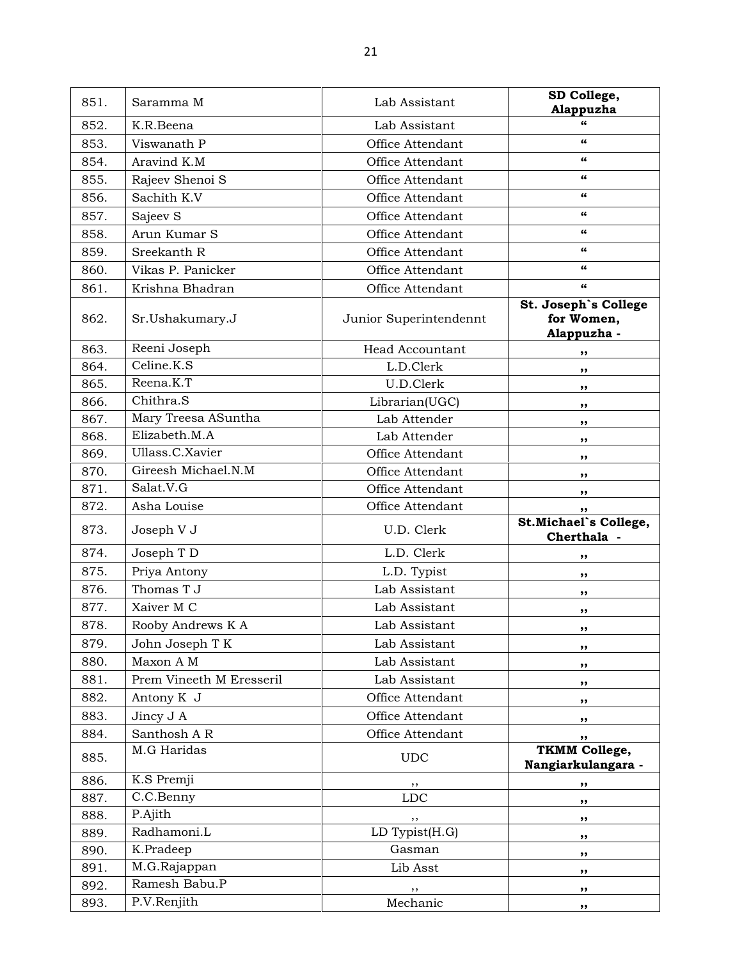| 851. | Saramma M                | Lab Assistant          | SD College,<br>Alappuzha                          |
|------|--------------------------|------------------------|---------------------------------------------------|
| 852. | K.R.Beena                | Lab Assistant          | 66                                                |
| 853. | Viswanath P              | Office Attendant       | $\epsilon$                                        |
| 854. | Aravind K.M              | Office Attendant       | 66                                                |
| 855. | Rajeev Shenoi S          | Office Attendant       | 66                                                |
| 856. | Sachith K.V              | Office Attendant       | 66                                                |
| 857. | Sajeev S                 | Office Attendant       | 66                                                |
| 858. | Arun Kumar S             | Office Attendant       | $\epsilon\epsilon$                                |
| 859. | Sreekanth R              | Office Attendant       | 66                                                |
| 860. | Vikas P. Panicker        | Office Attendant       | 66                                                |
| 861. | Krishna Bhadran          | Office Attendant       | $\epsilon\epsilon$                                |
| 862. | Sr.Ushakumary.J          | Junior Superintendennt | St. Joseph's College<br>for Women,<br>Alappuzha - |
| 863. | Reeni Joseph             | <b>Head Accountant</b> | ,,                                                |
| 864. | Celine.K.S               | L.D.Clerk              | ,,                                                |
| 865. | Reena.K.T                | U.D.Clerk              | ,,                                                |
| 866. | Chithra.S                | Librarian(UGC)         | ,,                                                |
| 867. | Mary Treesa ASuntha      | Lab Attender           | ,,                                                |
| 868. | Elizabeth.M.A            | Lab Attender           | ,,                                                |
| 869. | Ullass.C.Xavier          | Office Attendant       | ,,                                                |
| 870. | Gireesh Michael.N.M      | Office Attendant       | ,,                                                |
| 871. | Salat.V.G                | Office Attendant       | ,,                                                |
| 872. | Asha Louise              | Office Attendant       | ,,                                                |
| 873. | Joseph V J               | U.D. Clerk             | St.Michael's College,<br>Cherthala -              |
| 874. | Joseph T D               | L.D. Clerk             | ,,                                                |
| 875. | Priya Antony             | L.D. Typist            | ,,                                                |
| 876. | Thomas T J               | Lab Assistant          | ,,                                                |
| 877. | Xaiver M C               | Lab Assistant          | ,,                                                |
| 878. | Rooby Andrews K A        | Lab Assistant          | $, \, \,$                                         |
| 879. | John Joseph T K          | Lab Assistant          | ,,                                                |
| 880. | Maxon A M                | Lab Assistant          | ,,                                                |
| 881. | Prem Vineeth M Eresseril | Lab Assistant          | ,,                                                |
| 882. | Antony K J               | Office Attendant       | ,,                                                |
| 883. | Jincy J A                | Office Attendant       | ,,                                                |
| 884. | Santhosh A R             | Office Attendant       | ,,                                                |
| 885. | M.G Haridas              | <b>UDC</b>             | <b>TKMM College,</b><br>Nangiarkulangara -        |
| 886. | K.S Premji               | ,,                     | ,,                                                |
| 887. | C.C.Benny                | ${\rm LDC}$            | ,,                                                |
| 888. | P.Ajith                  | ,,                     | ,,                                                |
| 889. | Radhamoni.L              | LD Typist(H.G)         | ,,                                                |
| 890. | K.Pradeep                | Gasman                 | ,,                                                |
| 891. | M.G.Rajappan             | Lib Asst               | ,,                                                |
| 892. | Ramesh Babu.P            | ,,                     | ,,                                                |
| 893. | P.V.Renjith              | Mechanic               | ,,                                                |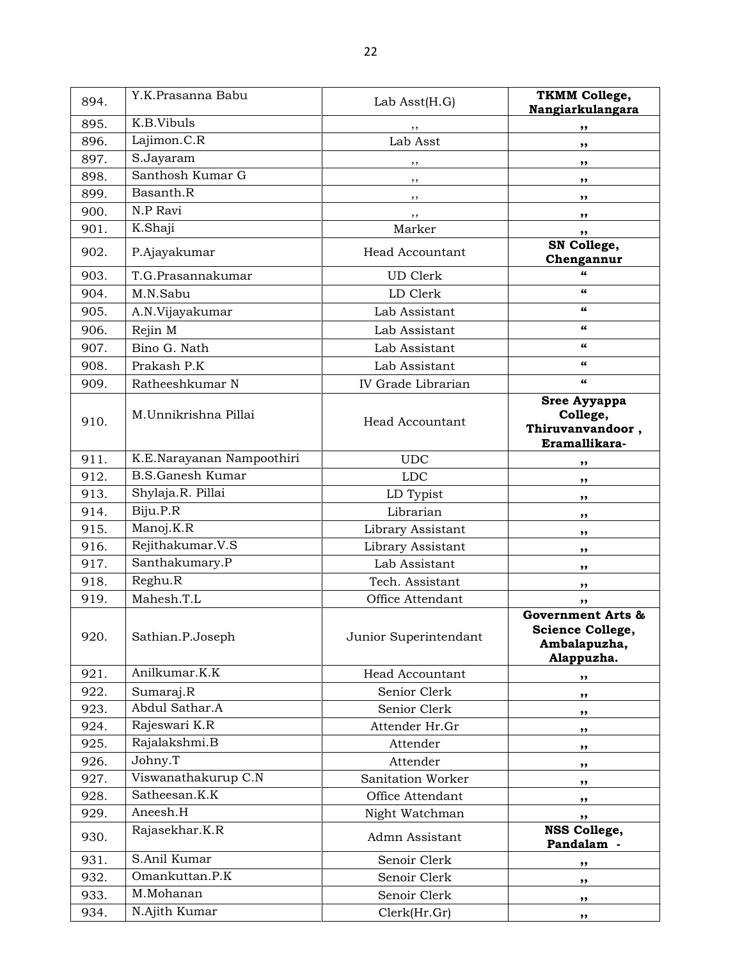| 894. | Y.K.Prasanna Babu         | Lab $\text{Asst}(H.G)$ | <b>TKMM College,</b><br>Nangiarkulangara                            |
|------|---------------------------|------------------------|---------------------------------------------------------------------|
| 895. | K.B.Vibuls                | ,,                     | ,,                                                                  |
| 896. | Lajimon.C.R               | Lab Asst               | ,,                                                                  |
| 897. | S.Jayaram                 | ,,                     | ,,                                                                  |
| 898. | Santhosh Kumar G          | ,,                     | ,,                                                                  |
| 899. | Basanth.R                 | , ,                    | ,,                                                                  |
| 900. | N.P Ravi                  | , ,                    | $, \, \,$                                                           |
| 901. | K.Shaji                   | Marker                 | ,,                                                                  |
| 902. | P.Ajayakumar              | Head Accountant        | SN College,<br>Chengannur                                           |
| 903. | T.G.Prasannakumar         | <b>UD</b> Clerk        | $\epsilon$                                                          |
| 904. | M.N.Sabu                  | LD Clerk               | 66                                                                  |
| 905. | A.N.Vijayakumar           | Lab Assistant          | $\epsilon$                                                          |
| 906. | Rejin M                   | Lab Assistant          | $\epsilon$                                                          |
| 907. | Bino G. Nath              | Lab Assistant          | $\epsilon$                                                          |
| 908. | Prakash P.K               | Lab Assistant          | 66                                                                  |
| 909. | Ratheeshkumar N           | IV Grade Librarian     | 66                                                                  |
| 910. | M.Unnikrishna Pillai      | <b>Head Accountant</b> | Sree Ayyappa<br>College,<br>Thiruvanvandoor,<br>Eramallikara-       |
| 911. | K.E.Narayanan Nampoothiri | <b>UDC</b>             | ,,                                                                  |
| 912. | <b>B.S.Ganesh Kumar</b>   | <b>LDC</b>             | ,,                                                                  |
| 913. | Shylaja.R. Pillai         | LD Typist              | ,,                                                                  |
| 914. | Biju.P.R                  | Librarian              | ,,                                                                  |
| 915. | Manoj.K.R                 | Library Assistant      | ,,                                                                  |
| 916. | Rejithakumar.V.S          | Library Assistant      | ,,                                                                  |
| 917. | Santhakumary.P            | Lab Assistant          | ,,                                                                  |
| 918. | Reghu.R                   | Tech. Assistant        | ,,                                                                  |
| 919. | Mahesh.T.L                | Office Attendant       | ,,                                                                  |
| 920. | Sathian.P.Joseph          | Junior Superintendant  | Government Arts &<br>Science College,<br>Ambalapuzha,<br>Alappuzha. |
| 921. | Anilkumar.K.K             | <b>Head Accountant</b> | ,,                                                                  |
| 922. | Sumaraj.R                 | Senior Clerk           | ,,                                                                  |
| 923. | Abdul Sathar.A            | Senior Clerk           | ,,                                                                  |
| 924. | Rajeswari K.R             | Attender Hr.Gr         | ,,                                                                  |
| 925. | Rajalakshmi.B             | Attender               | ,,                                                                  |
| 926. | Johny.T                   | Attender               | ,,                                                                  |
| 927. | Viswanathakurup C.N       | Sanitation Worker      | ,,                                                                  |
| 928. | Satheesan.K.K             | Office Attendant       | ,,                                                                  |
| 929. | Aneesh.H                  | Night Watchman         | ,,                                                                  |
| 930. | Rajasekhar.K.R            | Admn Assistant         | NSS College,<br>Pandalam -                                          |
| 931. | S.Anil Kumar              | Senoir Clerk           | ,,                                                                  |
| 932. | Omankuttan.P.K            | Senoir Clerk           | ,,                                                                  |
| 933. | M.Mohanan                 | Senoir Clerk           | ,,                                                                  |
| 934. | N.Ajith Kumar             | Clerk(Hr.Gr)           | ,,                                                                  |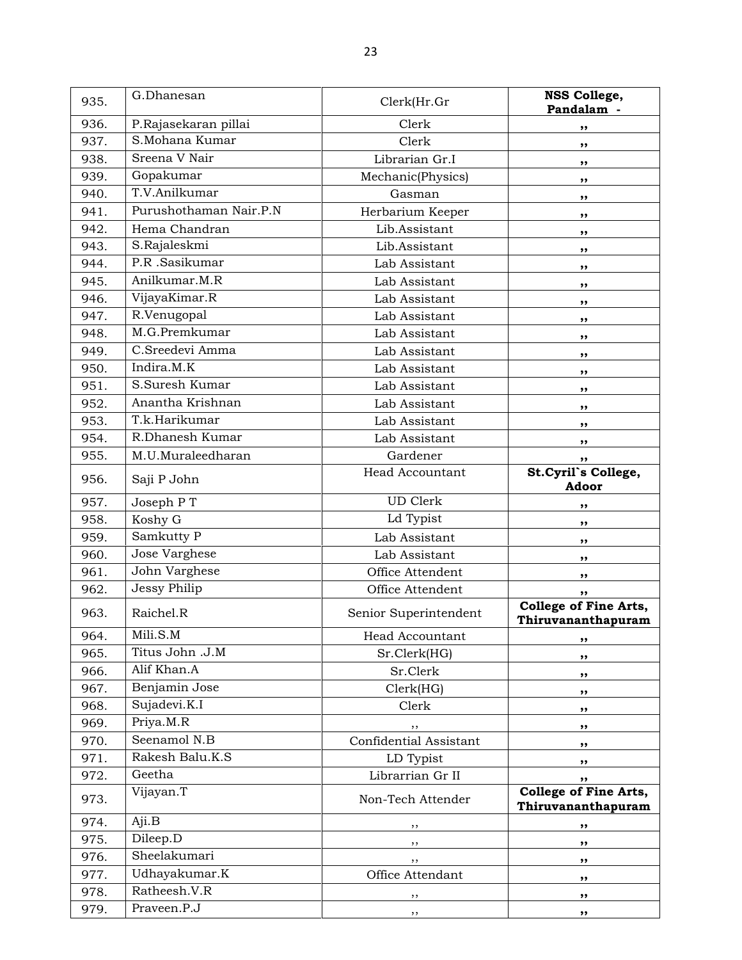| 935. | G.Dhanesan             | Clerk(Hr.Gr            | NSS College,<br>Pandalam -                         |
|------|------------------------|------------------------|----------------------------------------------------|
| 936. | P.Rajasekaran pillai   | Clerk                  | ,,                                                 |
| 937. | S.Mohana Kumar         | Clerk                  | ,,                                                 |
| 938. | Sreena V Nair          | Librarian Gr.I         | ,,                                                 |
| 939. | Gopakumar              | Mechanic(Physics)      | ,,                                                 |
| 940. | T.V.Anilkumar          | Gasman                 | ,,                                                 |
| 941. | Purushothaman Nair.P.N | Herbarium Keeper       | ,,                                                 |
| 942. | Hema Chandran          | Lib.Assistant          | ,,                                                 |
| 943. | S.Rajaleskmi           | Lib.Assistant          | ,,                                                 |
| 944. | P.R .Sasikumar         | Lab Assistant          | ,,                                                 |
| 945. | Anilkumar, M.R         | Lab Assistant          | ,,                                                 |
| 946. | VijayaKimar.R          | Lab Assistant          | ,,                                                 |
| 947. | R.Venugopal            | Lab Assistant          | ,,                                                 |
| 948. | M.G.Premkumar          | Lab Assistant          | ,,                                                 |
| 949. | C.Sreedevi Amma        | Lab Assistant          | ,,                                                 |
| 950. | Indira.M.K             | Lab Assistant          | ,,                                                 |
| 951. | S.Suresh Kumar         | Lab Assistant          | ,,                                                 |
| 952. | Anantha Krishnan       | Lab Assistant          | ,,                                                 |
| 953. | T.k.Harikumar          | Lab Assistant          | ,,                                                 |
| 954. | R.Dhanesh Kumar        | Lab Assistant          | ,,                                                 |
| 955. | M.U.Muraleedharan      | Gardener               | ,,                                                 |
| 956. | Saji P John            | <b>Head Accountant</b> | St.Cyril's College,<br>Adoor                       |
| 957. | Joseph PT              | <b>UD</b> Clerk        | ,,                                                 |
| 958. | Koshy G                | Ld Typist              | ,,                                                 |
| 959. | Samkutty P             | Lab Assistant          | ,,                                                 |
| 960. | Jose Varghese          | Lab Assistant          | ,,                                                 |
| 961. | John Varghese          | Office Attendent       | ,,                                                 |
| 962. | Jessy Philip           | Office Attendent       | ,,                                                 |
| 963. | Raichel.R              | Senior Superintendent  | <b>College of Fine Arts,</b><br>Thiruvananthapuram |
| 964. | Mili.S.M               | Head Accountant        | ,,                                                 |
| 965. | Titus John .J.M        | Sr.Clerk(HG)           | ,,                                                 |
| 966. | Alif Khan.A            | Sr.Clerk               | ,,                                                 |
| 967. | Benjamin Jose          | Clerk(HG)              | ,,                                                 |
| 968. | Sujadevi.K.I           | Clerk                  | ,,                                                 |
| 969. | Priya.M.R              |                        | ,,                                                 |
| 970. | Seenamol N.B           | Confidential Assistant | ,,                                                 |
| 971. | Rakesh Balu.K.S        | LD Typist              | ,,                                                 |
| 972. | Geetha                 | Librarrian Gr II       | ,,                                                 |
| 973. | Vijayan.T              | Non-Tech Attender      | College of Fine Arts,<br>Thiruvananthapuram        |
| 974. | Aji.B                  |                        | ,,                                                 |
| 975. | Dileep.D               | ,,                     | ,,                                                 |
| 976. | Sheelakumari           | ,,                     | ,,                                                 |
| 977. | Udhayakumar.K          | Office Attendant       | ,,                                                 |
| 978. | Ratheesh.V.R           | ,,                     | ,,                                                 |
| 979. | Praveen.P.J            | ,,                     | ,,                                                 |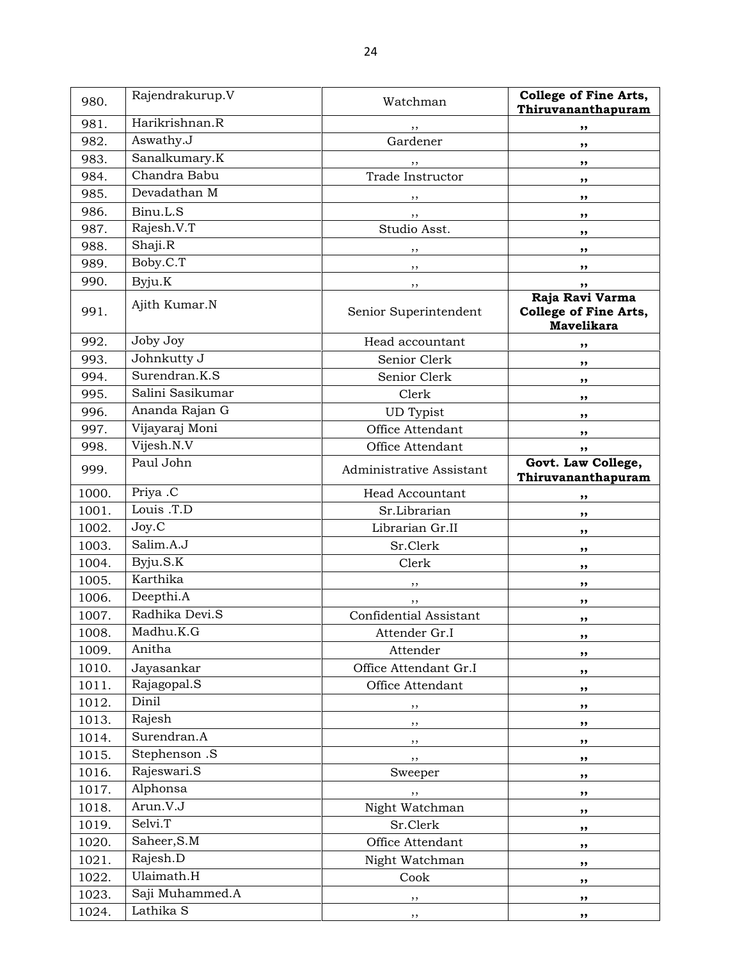| 980.  | Rajendrakurup.V  | Watchman                 | College of Fine Arts,<br>Thiruvananthapuram                   |
|-------|------------------|--------------------------|---------------------------------------------------------------|
| 981.  | Harikrishnan.R   | $, \,$                   | ,,                                                            |
| 982.  | Aswathy.J        | Gardener                 | ,,                                                            |
| 983.  | Sanalkumary.K    | ,,                       | ,,                                                            |
| 984.  | Chandra Babu     | Trade Instructor         | ,,                                                            |
| 985.  | Devadathan M     |                          | ,,                                                            |
| 986.  | Binu.L.S         | $, \, \, \cdot$          | $, \, \,$                                                     |
| 987.  | Rajesh.V.T       | Studio Asst.             | $, \, \,$                                                     |
| 988.  | Shaji.R          | ,,                       | ,,                                                            |
| 989.  | Boby.C.T         | $, \, \cdot$             | ,,                                                            |
| 990.  | Byju.K           | $, \, \,$                | ,,                                                            |
| 991.  | Ajith Kumar.N    | Senior Superintendent    | Raja Ravi Varma<br>College of Fine Arts,<br><b>Mavelikara</b> |
| 992.  | Joby Joy         | Head accountant          | ,,                                                            |
| 993.  | Johnkutty J      | Senior Clerk             | ,,                                                            |
| 994.  | Surendran.K.S    | Senior Clerk             | ,,                                                            |
| 995.  | Salini Sasikumar | Clerk                    | ,,                                                            |
| 996.  | Ananda Rajan G   | <b>UD</b> Typist         | ,,                                                            |
| 997.  | Vijayaraj Moni   | Office Attendant         | ,,                                                            |
| 998.  | Vijesh.N.V       | Office Attendant         | ,,                                                            |
| 999.  | Paul John        | Administrative Assistant | Govt. Law College,<br>Thiruvananthapuram                      |
| 1000. | Priya .C         | <b>Head Accountant</b>   | ,,                                                            |
| 1001. | Louis .T.D       | Sr.Librarian             | ,,                                                            |
| 1002. | Joy.C            | Librarian Gr.II          | ,,                                                            |
| 1003. | Salim.A.J        | Sr.Clerk                 | ,,                                                            |
| 1004. | Byju.S.K         | Clerk                    | ,,                                                            |
| 1005. | Karthika         | $, \,$                   | ,,                                                            |
| 1006. | Deepthi.A        | , ,                      | ,,                                                            |
| 1007. | Radhika Devi.S   | Confidential Assistant   | ,,                                                            |
| 1008. | Madhu.K.G        | Attender Gr.I            | ,,                                                            |
| 1009. | Anitha           | Attender                 | ,,                                                            |
| 1010. | Jayasankar       | Office Attendant Gr.I    | ,,                                                            |
| 1011. | Rajagopal.S      | Office Attendant         | ,,                                                            |
| 1012. | Dinil            | ,,                       | ,,                                                            |
| 1013. | Rajesh           | ,,                       | ,,                                                            |
| 1014. | Surendran.A      | ,,                       | ,,                                                            |
| 1015. | Stephenson .S    | ,,                       | ,,                                                            |
| 1016. | Rajeswari.S      | Sweeper                  | ,,                                                            |
| 1017. | Alphonsa         | ,,                       | ,,                                                            |
| 1018. | Arun.V.J         | Night Watchman           | ,,                                                            |
| 1019. | Selvi.T          | Sr.Clerk                 | ,,                                                            |
| 1020. | Saheer, S.M      | Office Attendant         | ,,                                                            |
| 1021. | Rajesh.D         | Night Watchman           | ,,                                                            |
| 1022. | Ulaimath.H       | Cook                     | ,,                                                            |
| 1023. | Saji Muhammed.A  | ,,                       | ,,                                                            |
| 1024. | Lathika S        | , ,                      | ,,                                                            |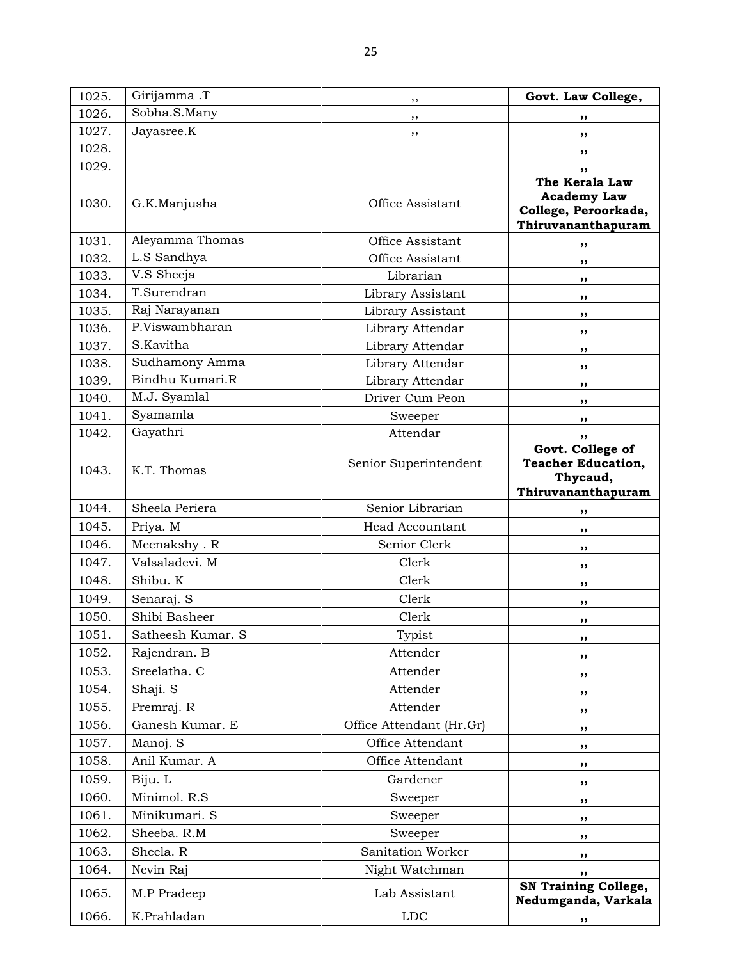| 1025. | Girijamma .T      | ,,                       | Govt. Law College,                                                                 |
|-------|-------------------|--------------------------|------------------------------------------------------------------------------------|
| 1026. | Sobha.S.Many      | $, \,$                   | ,,                                                                                 |
| 1027. | Jayasree.K        | ,,                       | ,,                                                                                 |
| 1028. |                   |                          | ,,                                                                                 |
| 1029. |                   |                          | ,,                                                                                 |
| 1030. | G.K.Manjusha      | Office Assistant         | The Kerala Law<br><b>Academy Law</b><br>College, Peroorkada,<br>Thiruvananthapuram |
| 1031. | Aleyamma Thomas   | Office Assistant         | ,,                                                                                 |
| 1032. | L.S Sandhya       | Office Assistant         | ,,                                                                                 |
| 1033. | V.S Sheeja        | Librarian                | ,,                                                                                 |
| 1034. | T.Surendran       | Library Assistant        | ,,                                                                                 |
| 1035. | Raj Narayanan     | Library Assistant        | ,,                                                                                 |
| 1036. | P.Viswambharan    | Library Attendar         | ,,                                                                                 |
| 1037. | S.Kavitha         | Library Attendar         | ,,                                                                                 |
| 1038. | Sudhamony Amma    | Library Attendar         | ,,                                                                                 |
| 1039. | Bindhu Kumari.R   | Library Attendar         | ,,                                                                                 |
| 1040. | M.J. Syamlal      | Driver Cum Peon          | ,,                                                                                 |
| 1041. | Syamamla          | Sweeper                  | ,,                                                                                 |
| 1042. | Gayathri          | Attendar                 | ,,                                                                                 |
| 1043. | K.T. Thomas       | Senior Superintendent    | Govt. College of<br><b>Teacher Education,</b><br>Thycaud,<br>Thiruvananthapuram    |
| 1044. | Sheela Periera    | Senior Librarian         | ,,                                                                                 |
| 1045. | Priya. M          | <b>Head Accountant</b>   | ,,                                                                                 |
| 1046. | Meenakshy. R      | Senior Clerk             | ,,                                                                                 |
| 1047. | Valsaladevi. M    | Clerk                    | ,,                                                                                 |
| 1048. | Shibu. K          | Clerk                    | ,,                                                                                 |
| 1049. | Senaraj. S        | Clerk                    | ,,                                                                                 |
| 1050. | Shibi Basheer     | Clerk                    | ,,                                                                                 |
| 1051. | Satheesh Kumar. S | Typist                   | ,,                                                                                 |
| 1052. | Rajendran. B      | Attender                 | ,,                                                                                 |
| 1053. | Sreelatha. C      | Attender                 | ,,                                                                                 |
| 1054. | Shaji. S          | Attender                 | ,,                                                                                 |
| 1055. | Premraj. R        | Attender                 | ,,                                                                                 |
| 1056. | Ganesh Kumar. E   | Office Attendant (Hr.Gr) | ,,                                                                                 |
| 1057. | Manoj. S          | Office Attendant         | ,,                                                                                 |
| 1058. | Anil Kumar. A     | Office Attendant         | ,,                                                                                 |
| 1059. | Biju. L           | Gardener                 | ,,                                                                                 |
| 1060. | Minimol. R.S      | Sweeper                  | ,,                                                                                 |
| 1061. | Minikumari. S     | Sweeper                  | ,,                                                                                 |
| 1062. | Sheeba. R.M       | Sweeper                  | ,,                                                                                 |
| 1063. | Sheela. R         | Sanitation Worker        | ,,                                                                                 |
| 1064. | Nevin Raj         | Night Watchman           | ,,                                                                                 |
| 1065. | M.P Pradeep       | Lab Assistant            | <b>SN Training College,</b><br>Nedumganda, Varkala                                 |
| 1066. | K.Prahladan       | <b>LDC</b>               | ,,                                                                                 |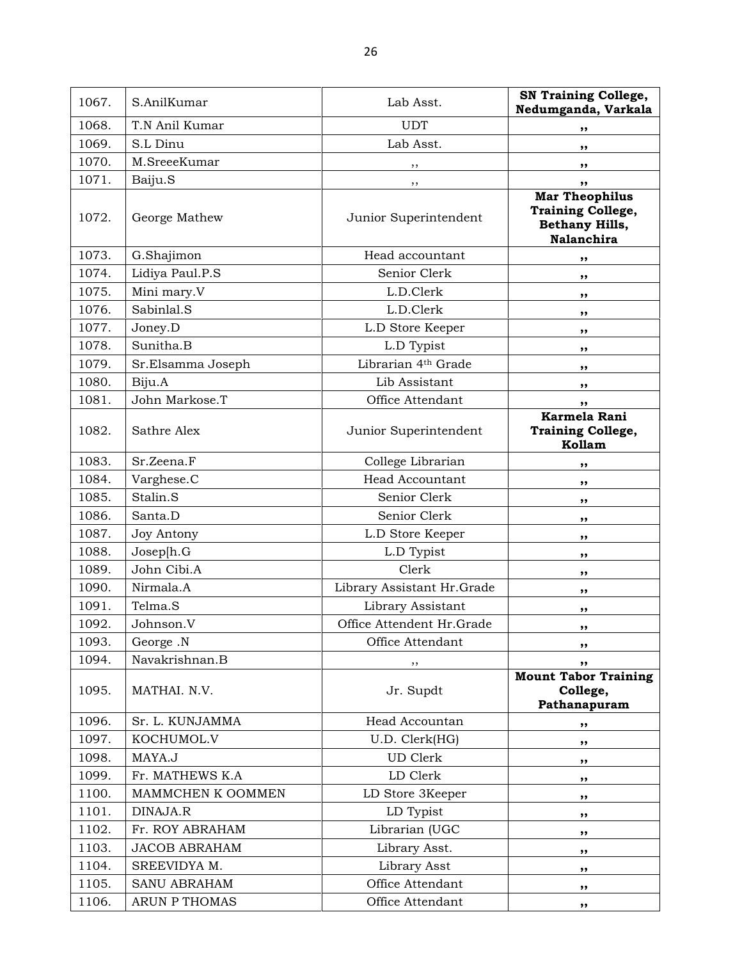1067. S.AnilKumar Lab Asst. SN Training College, Nedumganda, Varkala 1068. T.N Anil Kumar UDT ,, 1069. S.L Dinu and the contract of the Lab Asst. 1070. M.SreeeKumar ,, ,, 1071. Baiju.S ,, ,, 1072. George Mathew Junior Superintendent Mar Theophilus Training College, Bethany Hills, Nalanchira 1073. G.Shajimon Head accountant ,, 1074. Lidiya Paul.P.S Senior Clerk ,, 1075. Mini mary.V L.D.Clerk ,, 1076. Sabinlal.S b.D.Clerk ,, 1077. Joney.D **L.D** Store Keeper , 1078. Sunitha.B b.D Typist **,,** 1079. Sr.Elsamma Joseph Librarian 4<sup>th</sup> Grade , , 1080. Biju.A Lib Assistant ,, 1081. John Markose. T and Coffice Attendant (1081. John Markose. T 1082. Sathre Alex Junior Superintendent Karmela Rani Training College, Kollam 1083. Sr.Zeena.F (a) College Librarian (b),  $\mathcal{S}$ ,  $\mathcal{S}$ 1084. Varghese.C **Head Accountant** ,, 1085. Stalin.S Senior Clerk ,, 1086. Santa.D Senior Clerk ,, 1087. Joy Antony L.D Store Keeper ,, 1088. Joseph.G by L.D Typist , the set of the set of the set of the set of the set of the set of the set of the set of the set of the set of the set of the set of the set of the set of the set of the set of the set of the 1089. John Cibi.A Clerk Clerk , , 1090. Nirmala.A b Library Assistant Hr.Grade | ,, 1091. Telma.S between the Library Assistant the method of  $\sim$  ,, 1092. Johnson.V Office Attendent Hr.Grade ,, 1093. George .N George .N Conserver and Section Attendant 1093. 1094. Navakrishnan.B ,, ,, 1095. MATHAI. N.V. Jr. Supdt Mount Tabor Training College, Pathanapuram 1096. Sr. L. KUNJAMMA Head Accountan ,, 1097. KOCHUMOL.V U.D. Clerk(HG) , 1098. | MAYA.J UD Clerk , 1099. Fr. MATHEWS K.A LD Clerk ,, 1100. | MAMMCHEN K OOMMEN LD Store 3Keeper | ,, 1101. DINAJA.R 
https://www.bit.com/modelsuppide.com/modelsuppide.com/modelsuppide.com/modelsuppide.com/modelsuppide.com/modelsuppide.com/modelsuppide.com/modelsuppide.com/modelsuppide.com/modelsuppide.com/modelsuppide.com 1102. Fr. ROY ABRAHAM Librarian (UGC ), 1103. JACOB ABRAHAM Library Asst.  $\vert$ ,, 1104. SREEVIDYA M. 
<br>
lubrary Asst  $\qquad \qquad$ , 1105. SANU ABRAHAM **Office Attendant** , 1106. ARUN P THOMAS by Coffice Attendant (and  $\mathbf{R}$ ,  $\mathbf{R}$